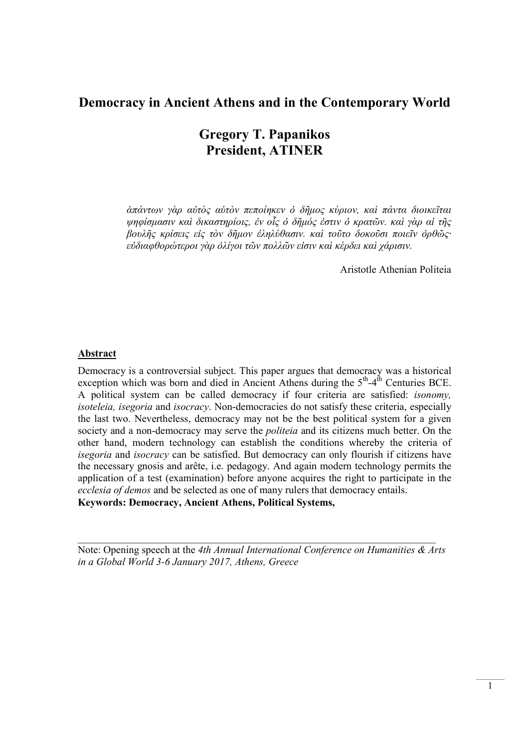# Democracy in Ancient Athens and in the Contemporary World

# Gregory T. Papanikos President, ATINER

ἁπάντων γὰρ αὐτὸς αὑτὸν πεποίηκεν ὁ δῆμος κύριον, καὶ πάντα διοικεῖται ψηφίσμασιν καὶ δικαστηρίοις, ἐν οἷς ὁ δῆμός ἐστιν ὁ κρατῶν. καὶ γὰρ αἱ τῆς βουλῆς κρίσεις εἰς τὸν δῆμον ἐληλύθασιν. καὶ τοῦτο δοκοῦσι ποιεῖν ὀρθῶς· εὐδιαφθορώτεροι γὰρ ὀλίγοι τῶν πολλῶν εἰσιν καὶ κέρδει καὶ χάρισιν.

Aristotle Athenian Politeia

# Abstract

Democracy is a controversial subject. This paper argues that democracy was a historical exception which was born and died in Ancient Athens during the  $5<sup>th</sup>-4<sup>th</sup>$  Centuries BCE. A political system can be called democracy if four criteria are satisfied: isonomy, isoteleia, isegoria and isocracy. Non-democracies do not satisfy these criteria, especially the last two. Nevertheless, democracy may not be the best political system for a given society and a non-democracy may serve the politeia and its citizens much better. On the other hand, modern technology can establish the conditions whereby the criteria of isegoria and isocracy can be satisfied. But democracy can only flourish if citizens have the necessary gnosis and arête, i.e. pedagogy. And again modern technology permits the application of a test (examination) before anyone acquires the right to participate in the ecclesia of demos and be selected as one of many rulers that democracy entails. Keywords: Democracy, Ancient Athens, Political Systems,

Note: Opening speech at the 4th Annual International Conference on Humanities & Arts in a Global World 3-6 January 2017, Athens, Greece

 $\mathcal{L}_\text{max} = \mathcal{L}_\text{max} = \mathcal{L}_\text{max} = \mathcal{L}_\text{max} = \mathcal{L}_\text{max} = \mathcal{L}_\text{max} = \mathcal{L}_\text{max} = \mathcal{L}_\text{max} = \mathcal{L}_\text{max} = \mathcal{L}_\text{max} = \mathcal{L}_\text{max} = \mathcal{L}_\text{max} = \mathcal{L}_\text{max} = \mathcal{L}_\text{max} = \mathcal{L}_\text{max} = \mathcal{L}_\text{max} = \mathcal{L}_\text{max} = \mathcal{L}_\text{max} = \mathcal{$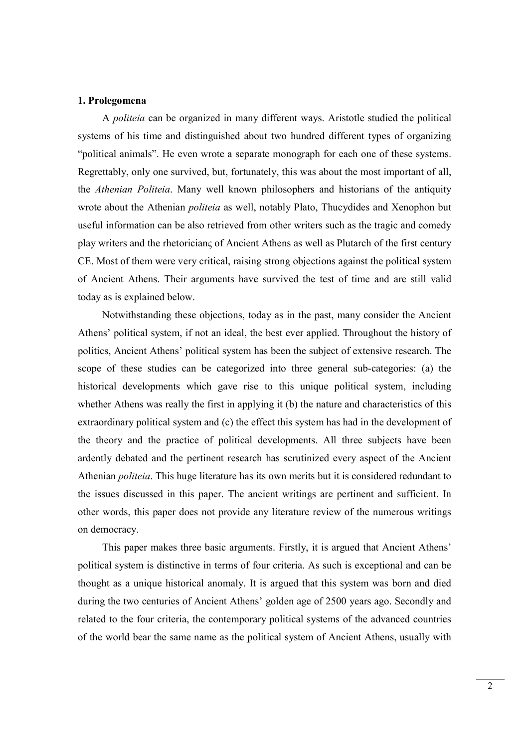## 1. Prolegomena

A politeia can be organized in many different ways. Aristotle studied the political systems of his time and distinguished about two hundred different types of organizing "political animals". He even wrote a separate monograph for each one of these systems. Regrettably, only one survived, but, fortunately, this was about the most important of all, the Athenian Politeia. Many well known philosophers and historians of the antiquity wrote about the Athenian politeia as well, notably Plato, Thucydides and Xenophon but useful information can be also retrieved from other writers such as the tragic and comedy play writers and the rhetoricianς of Ancient Athens as well as Plutarch of the first century CE. Most of them were very critical, raising strong objections against the political system of Ancient Athens. Their arguments have survived the test of time and are still valid today as is explained below.

Notwithstanding these objections, today as in the past, many consider the Ancient Athens' political system, if not an ideal, the best ever applied. Throughout the history of politics, Ancient Athens' political system has been the subject of extensive research. The scope of these studies can be categorized into three general sub-categories: (a) the historical developments which gave rise to this unique political system, including whether Athens was really the first in applying it (b) the nature and characteristics of this extraordinary political system and (c) the effect this system has had in the development of the theory and the practice of political developments. All three subjects have been ardently debated and the pertinent research has scrutinized every aspect of the Ancient Athenian politeia. This huge literature has its own merits but it is considered redundant to the issues discussed in this paper. The ancient writings are pertinent and sufficient. In other words, this paper does not provide any literature review of the numerous writings on democracy.

This paper makes three basic arguments. Firstly, it is argued that Ancient Athens' political system is distinctive in terms of four criteria. As such is exceptional and can be thought as a unique historical anomaly. It is argued that this system was born and died during the two centuries of Ancient Athens' golden age of 2500 years ago. Secondly and related to the four criteria, the contemporary political systems of the advanced countries of the world bear the same name as the political system of Ancient Athens, usually with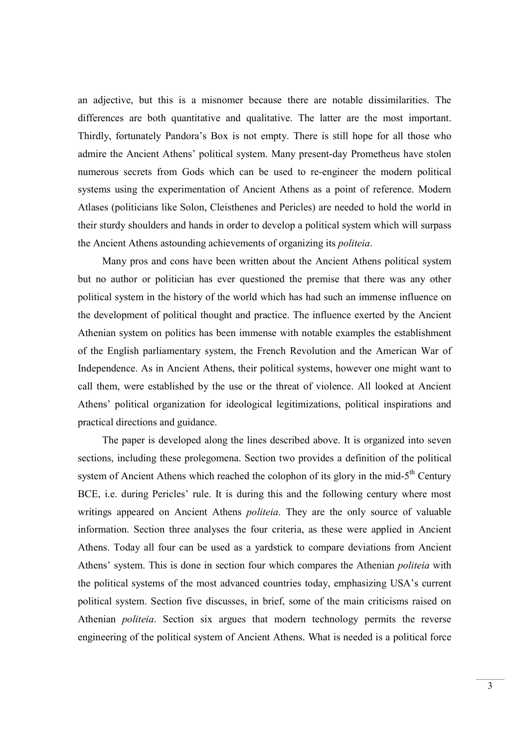an adjective, but this is a misnomer because there are notable dissimilarities. The differences are both quantitative and qualitative. The latter are the most important. Thirdly, fortunately Pandora's Box is not empty. There is still hope for all those who admire the Ancient Athens' political system. Many present-day Prometheus have stolen numerous secrets from Gods which can be used to re-engineer the modern political systems using the experimentation of Ancient Athens as a point of reference. Modern Atlases (politicians like Solon, Cleisthenes and Pericles) are needed to hold the world in their sturdy shoulders and hands in order to develop a political system which will surpass the Ancient Athens astounding achievements of organizing its politeia.

Many pros and cons have been written about the Ancient Athens political system but no author or politician has ever questioned the premise that there was any other political system in the history of the world which has had such an immense influence on the development of political thought and practice. The influence exerted by the Ancient Athenian system on politics has been immense with notable examples the establishment of the English parliamentary system, the French Revolution and the American War of Independence. As in Ancient Athens, their political systems, however one might want to call them, were established by the use or the threat of violence. All looked at Ancient Athens' political organization for ideological legitimizations, political inspirations and practical directions and guidance.

The paper is developed along the lines described above. It is organized into seven sections, including these prolegomena. Section two provides a definition of the political system of Ancient Athens which reached the colophon of its glory in the mid- $5<sup>th</sup>$  Century BCE, i.e. during Pericles' rule. It is during this and the following century where most writings appeared on Ancient Athens *politeia*. They are the only source of valuable information. Section three analyses the four criteria, as these were applied in Ancient Athens. Today all four can be used as a yardstick to compare deviations from Ancient Athens' system. This is done in section four which compares the Athenian *politeia* with the political systems of the most advanced countries today, emphasizing USA's current political system. Section five discusses, in brief, some of the main criticisms raised on Athenian politeia. Section six argues that modern technology permits the reverse engineering of the political system of Ancient Athens. What is needed is a political force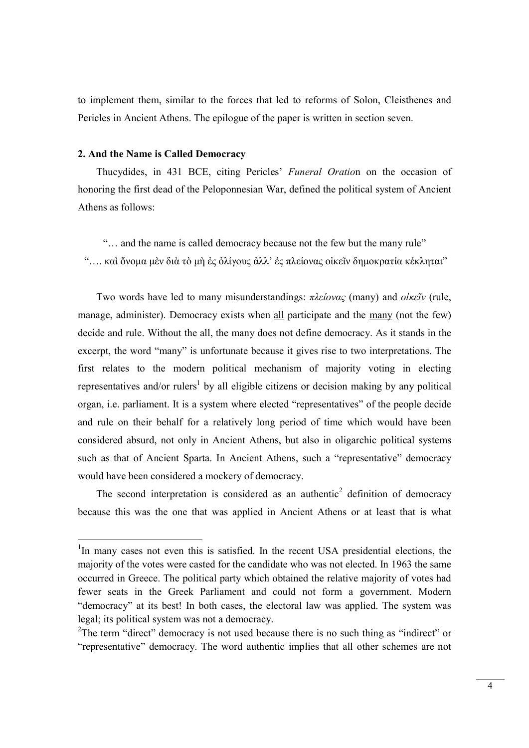to implement them, similar to the forces that led to reforms of Solon, Cleisthenes and Pericles in Ancient Athens. The epilogue of the paper is written in section seven.

## 2. And the Name is Called Democracy

-

Thucydides, in 431 BCE, citing Pericles' Funeral Oration on the occasion of honoring the first dead of the Peloponnesian War, defined the political system of Ancient Athens as follows:

"… and the name is called democracy because not the few but the many rule" "…. καὶ ὄνομα μὲν διὰ τὸ μὴ ἐς ὀλίγους ἀλλ' ἐς πλείονας οἰκεῖν δημοκρατία κέκληται"

Two words have led to many misunderstandings: πλείονας (many) and οίκεῖν (rule, manage, administer). Democracy exists when all participate and the many (not the few) decide and rule. Without the all, the many does not define democracy. As it stands in the excerpt, the word "many" is unfortunate because it gives rise to two interpretations. The first relates to the modern political mechanism of majority voting in electing representatives and/or rulers<sup>1</sup> by all eligible citizens or decision making by any political organ, i.e. parliament. It is a system where elected "representatives" of the people decide and rule on their behalf for a relatively long period of time which would have been considered absurd, not only in Ancient Athens, but also in oligarchic political systems such as that of Ancient Sparta. In Ancient Athens, such a "representative" democracy would have been considered a mockery of democracy.

The second interpretation is considered as an authentic<sup>2</sup> definition of democracy because this was the one that was applied in Ancient Athens or at least that is what

<sup>&</sup>lt;sup>1</sup>In many cases not even this is satisfied. In the recent USA presidential elections, the majority of the votes were casted for the candidate who was not elected. In 1963 the same occurred in Greece. The political party which obtained the relative majority of votes had fewer seats in the Greek Parliament and could not form a government. Modern "democracy" at its best! In both cases, the electoral law was applied. The system was legal; its political system was not a democracy.

<sup>&</sup>lt;sup>2</sup>The term "direct" democracy is not used because there is no such thing as "indirect" or "representative" democracy. The word authentic implies that all other schemes are not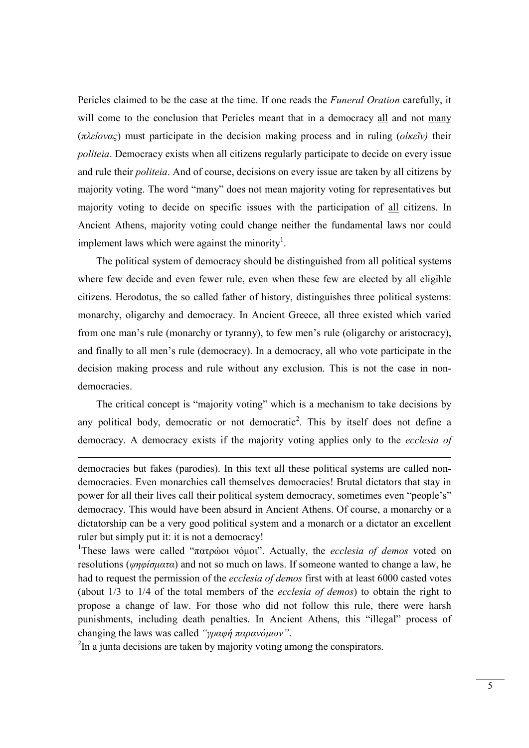Pericles claimed to be the case at the time. If one reads the Funeral Oration carefully, it will come to the conclusion that Pericles meant that in a democracy all and not many (πλείονας) must participate in the decision making process and in ruling (οίκεῖν) their politeia. Democracy exists when all citizens regularly participate to decide on every issue and rule their politeia. And of course, decisions on every issue are taken by all citizens by majority voting. The word "many" does not mean majority voting for representatives but majority voting to decide on specific issues with the participation of all citizens. In Ancient Athens, majority voting could change neither the fundamental laws nor could implement laws which were against the minority<sup>1</sup>.

The political system of democracy should be distinguished from all political systems where few decide and even fewer rule, even when these few are elected by all eligible citizens. Herodotus, the so called father of history, distinguishes three political systems: monarchy, oligarchy and democracy. In Ancient Greece, all three existed which varied from one man's rule (monarchy or tyranny), to few men's rule (oligarchy or aristocracy), and finally to all men's rule (democracy). In a democracy, all who vote participate in the decision making process and rule without any exclusion. This is not the case in nondemocracies.

The critical concept is "majority voting" which is a mechanism to take decisions by any political body, democratic or not democratic<sup>2</sup>. This by itself does not define a democracy. A democracy exists if the majority voting applies only to the ecclesia of

democracies but fakes (parodies). In this text all these political systems are called nondemocracies. Even monarchies call themselves democracies! Brutal dictators that stay in power for all their lives call their political system democracy, sometimes even "people's" democracy. This would have been absurd in Ancient Athens. Of course, a monarchy or a dictatorship can be a very good political system and a monarch or a dictator an excellent ruler but simply put it: it is not a democracy!

<sup>1</sup>These laws were called "πατρώοι νόμοι". Actually, the *ecclesia of demos* voted on resolutions (ψηφίσματα) and not so much on laws. If some one wanted to change a law, he had to request the permission of the ecclesia of demos first with at least 6000 casted votes (about 1/3 to 1/4 of the total members of the ecclesia of demos) to obtain the right to propose a change of law. For those who did not follow this rule, there were harsh punishments, including death penalties. In Ancient Athens, this "illegal" process of changing the laws was called "γραφή παρανόμων".

 $2$ In a junta decisions are taken by majority voting among the conspirators.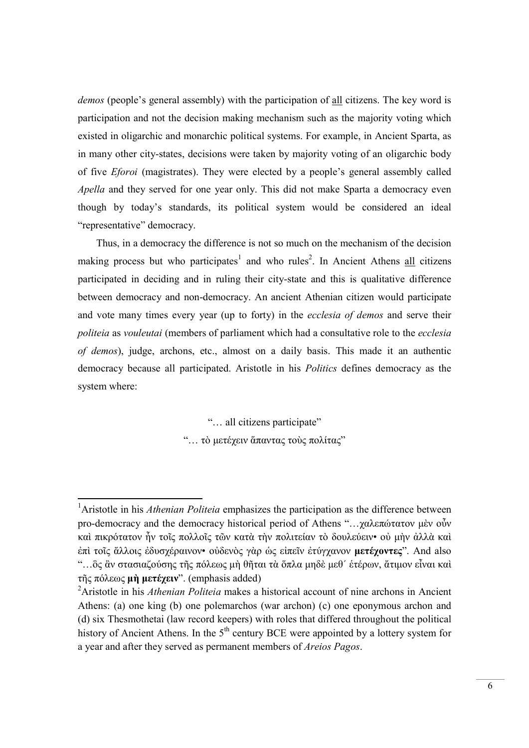demos (people's general assembly) with the participation of all citizens. The key word is participation and not the decision making mechanism such as the majority voting which existed in oligarchic and monarchic political systems. For example, in Ancient Sparta, as in many other city-states, decisions were taken by majority voting of an oligarchic body of five Eforoi (magistrates). They were elected by a people's general assembly called Apella and they served for one year only. This did not make Sparta a democracy even though by today's standards, its political system would be considered an ideal "representative" democracy.

Thus, in a democracy the difference is not so much on the mechanism of the decision making process but who participates<sup>1</sup> and who rules<sup>2</sup>. In Ancient Athens all citizens participated in deciding and in ruling their city-state and this is qualitative difference between democracy and non-democracy. An ancient Athenian citizen would participate and vote many times every year (up to forty) in the ecclesia of demos and serve their politeia as vouleutai (members of parliament which had a consultative role to the ecclesia of demos), judge, archons, etc., almost on a daily basis. This made it an authentic democracy because all participated. Aristotle in his Politics defines democracy as the system where:

"… all citizens participate"

"… τὸ μετέχειν ἅπαντας τοὺς πολίτας"

<sup>&</sup>lt;sup>1</sup>Aristotle in his *Athenian Politeia* emphasizes the participation as the difference between pro-democracy and the democracy historical period of Athens "…χαλεπώτατον μὲν οὖν καὶ πικρότατον ἦν τοῖς πολλοῖς τῶν κατὰ τὴν πολιτείαν τὸ δουλεύειν• οὐ μὴν ἀλλὰ καὶ ἐπὶ τοῖς ἄλλοις ἐδυσχέραινον• οὐδενὸς γὰρ ὡς εἰπεῖν ἐτύγχανον μετέχοντες". And also "…ὃς ἂν στασιαζούσης τῆς πόλεως μὴ θῆται τὰ ὅπλα μηδὲ μεθ´ ἑτέρων, ἄτιμον εἶναι καὶ τῆς πόλεως μὴ μετέχειν". (emphasis added)

<sup>&</sup>lt;sup>2</sup>Aristotle in his *Athenian Politeia* makes a historical account of nine archons in Ancient Athens: (a) one king (b) one polemarchos (war archon) (c) one eponymous archon and (d) six Thesmothetai (law record keepers) with roles that differed throughout the political history of Ancient Athens. In the  $5<sup>th</sup>$  century BCE were appointed by a lottery system for a year and after they served as permanent members of Areios Pagos.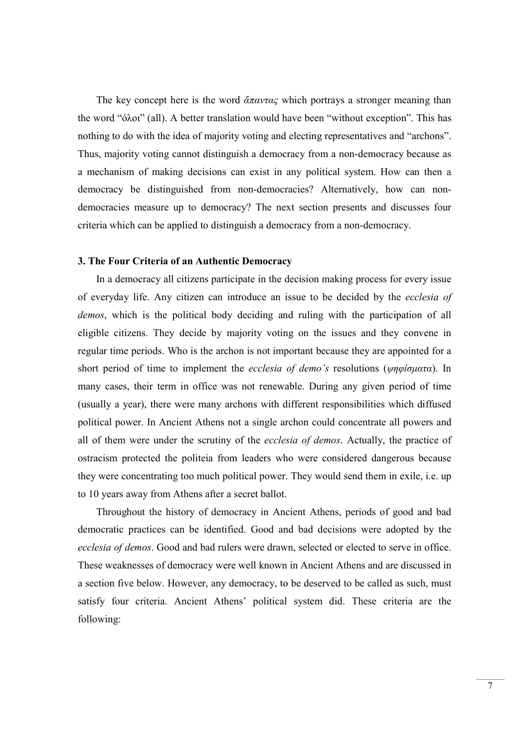The key concept here is the word  $\alpha \pi \alpha \nu \tau \alpha \varsigma$  which portrays a stronger meaning than the word "όλοι" (all). A better translation would have been "without exception". This has nothing to do with the idea of majority voting and electing representatives and "archons". Thus, majority voting cannot distinguish a democracy from a non-democracy because as a mechanism of making decisions can exist in any political system. How can then a democracy be distinguished from non-democracies? Alternatively, how can nondemocracies measure up to democracy? The next section presents and discusses four criteria which can be applied to distinguish a democracy from a non-democracy.

# 3. The Four Criteria of an Authentic Democracy

In a democracy all citizens participate in the decision making process for every issue of everyday life. Any citizen can introduce an issue to be decided by the ecclesia of demos, which is the political body deciding and ruling with the participation of all eligible citizens. They decide by majority voting on the issues and they convene in regular time periods. Who is the archon is not important because they are appointed for a short period of time to implement the ecclesia of demo's resolutions (ψηφίσματα). In many cases, their term in office was not renewable. During any given period of time (usually a year), there were many archons with different responsibilities which diffused political power. In Ancient Athens not a single archon could concentrate all powers and all of them were under the scrutiny of the *ecclesia of demos*. Actually, the practice of ostracism protected the politeia from leaders who were considered dangerous because they were concentrating too much political power. They would send them in exile, i.e. up to 10 years away from Athens after a secret ballot.

Throughout the history of democracy in Ancient Athens, periods of good and bad democratic practices can be identified. Good and bad decisions were adopted by the ecclesia of demos. Good and bad rulers were drawn, selected or elected to serve in office. These weaknesses of democracy were well known in Ancient Athens and are discussed in a section five below. However, any democracy, to be deserved to be called as such, must satisfy four criteria. Ancient Athens' political system did. These criteria are the following: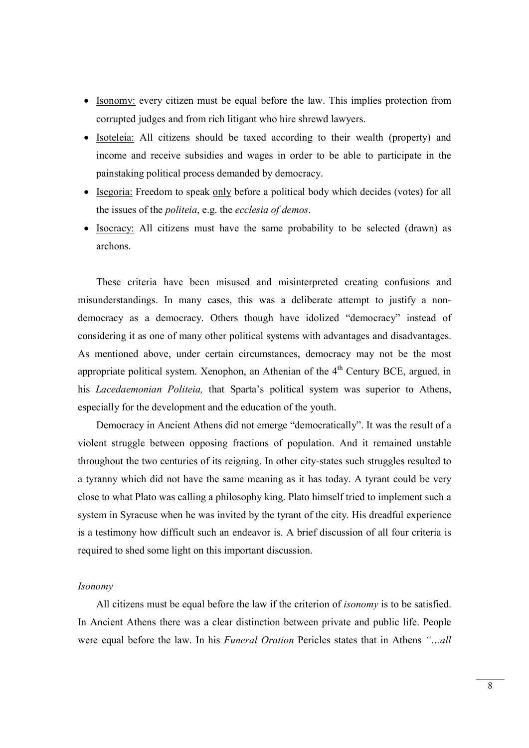- Isonomy: every citizen must be equal before the law. This implies protection from corrupted judges and from rich litigant who hire shrewd lawyers.
- Isoteleia: All citizens should be taxed according to their wealth (property) and income and receive subsidies and wages in order to be able to participate in the painstaking political process demanded by democracy.
- Isegoria: Freedom to speak only before a political body which decides (votes) for all the issues of the politeia, e.g. the ecclesia of demos.
- Isocracy: All citizens must have the same probability to be selected (drawn) as archons.

These criteria have been misused and misinterpreted creating confusions and misunderstandings. In many cases, this was a deliberate attempt to justify a nondemocracy as a democracy. Others though have idolized "democracy" instead of considering it as one of many other political systems with advantages and disadvantages. As mentioned above, under certain circumstances, democracy may not be the most appropriate political system. Xenophon, an Athenian of the  $4<sup>th</sup>$  Century BCE, argued, in his Lacedaemonian Politeia, that Sparta's political system was superior to Athens, especially for the development and the education of the youth.

Democracy in Ancient Athens did not emerge "democratically". It was the result of a violent struggle between opposing fractions of population. And it remained unstable throughout the two centuries of its reigning. In other city-states such struggles resulted to a tyranny which did not have the same meaning as it has today. A tyrant could be very close to what Plato was calling a philosophy king. Plato himself tried to implement such a system in Syracuse when he was invited by the tyrant of the city. His dreadful experience is a testimony how difficult such an endeavor is. A brief discussion of all four criteria is required to shed some light on this important discussion.

#### Isonomy

All citizens must be equal before the law if the criterion of isonomy is to be satisfied. In Ancient Athens there was a clear distinction between private and public life. People were equal before the law. In his Funeral Oration Pericles states that in Athens "...all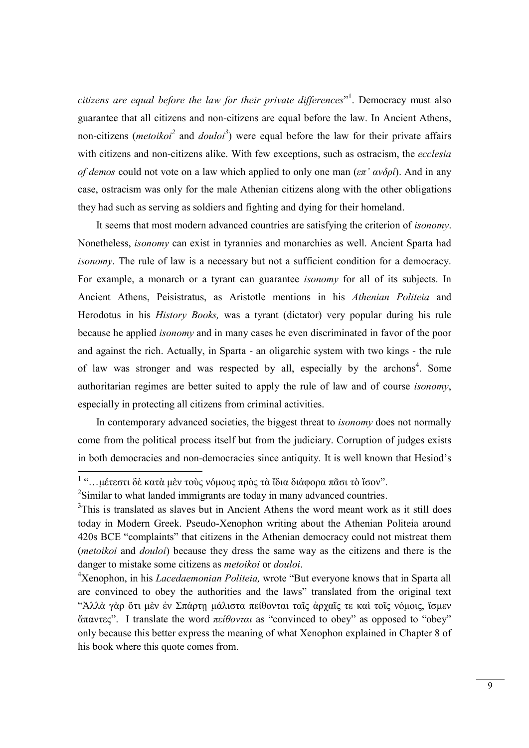citizens are equal before the law for their private differences"<sup>1</sup>. Democracy must also guarantee that all citizens and non-citizens are equal before the law. In Ancient Athens, non-citizens (*metoikoi*<sup>2</sup> and *douloi*<sup>3</sup>) were equal before the law for their private affairs with citizens and non-citizens alike. With few exceptions, such as ostracism, the ecclesia of demos could not vote on a law which applied to only one man  $(\varepsilon \pi' \alpha \nu \delta \rho i)$ . And in any case, ostracism was only for the male Athenian citizens along with the other obligations they had such as serving as soldiers and fighting and dying for their homeland.

It seems that most modern advanced countries are satisfying the criterion of isonomy. Nonetheless, isonomy can exist in tyrannies and monarchies as well. Ancient Sparta had isonomy. The rule of law is a necessary but not a sufficient condition for a democracy. For example, a monarch or a tyrant can guarantee isonomy for all of its subjects. In Ancient Athens, Peisistratus, as Aristotle mentions in his Athenian Politeia and Herodotus in his History Books, was a tyrant (dictator) very popular during his rule because he applied isonomy and in many cases he even discriminated in favor of the poor and against the rich. Actually, in Sparta - an oligarchic system with two kings - the rule of law was stronger and was respected by all, especially by the archons<sup>4</sup>. Some authoritarian regimes are better suited to apply the rule of law and of course isonomy, especially in protecting all citizens from criminal activities.

In contemporary advanced societies, the biggest threat to isonomy does not normally come from the political process itself but from the judiciary. Corruption of judges exists in both democracies and non-democracies since antiquity. It is well known that Hesiod's

 1 "…μέτεστι δὲ κατὰ μὲν τοὺς νόμους πρὸς τὰ ἴδια διάφορα πᾶσι τὸ ἴσον".

<sup>&</sup>lt;sup>2</sup>Similar to what landed immigrants are today in many advanced countries.

 $3$ This is translated as slaves but in Ancient Athens the word meant work as it still does today in Modern Greek. Pseudo-Xenophon writing about the Athenian Politeia around 420s BCE "complaints" that citizens in the Athenian democracy could not mistreat them (metoikoi and douloi) because they dress the same way as the citizens and there is the danger to mistake some citizens as metoikoi or douloi.

<sup>&</sup>lt;sup>4</sup>Xenophon, in his *Lacedaemonian Politeia*, wrote "But everyone knows that in Sparta all are convinced to obey the authorities and the laws" translated from the original text "Ἀλλὰ γὰρ ὅτι μὲν ἐν Σπάρτῃ μάλιστα πείθονται ταῖς ἀρχαῖς τε καὶ τοῖς νόμοις, ἴσμεν άπαντες". I translate the word πείθονται as "convinced to obey" as opposed to "obey" only because this better express the meaning of what Xenophon explained in Chapter 8 of his book where this quote comes from.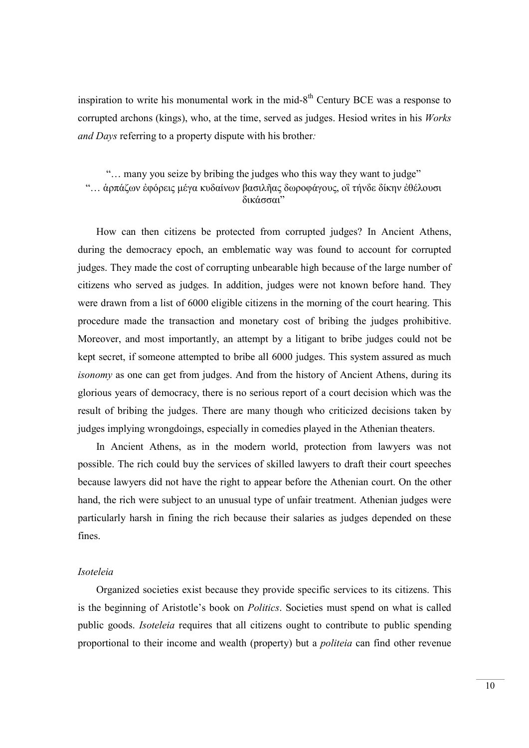inspiration to write his monumental work in the mid- $8<sup>th</sup>$  Century BCE was a response to corrupted archons (kings), who, at the time, served as judges. Hesiod writes in his *Works* and Days referring to a property dispute with his brother:

"… many you seize by bribing the judges who this way they want to judge" "… ἁρπάζων ἐφόρεις μέγα κυδαίνων βασιλῆας δωροφάγους, οἳ τήνδε δίκην ἐθέλουσι δικάσσαι"

How can then citizens be protected from corrupted judges? In Ancient Athens, during the democracy epoch, an emblematic way was found to account for corrupted judges. They made the cost of corrupting unbearable high because of the large number of citizens who served as judges. In addition, judges were not known before hand. They were drawn from a list of 6000 eligible citizens in the morning of the court hearing. This procedure made the transaction and monetary cost of bribing the judges prohibitive. Moreover, and most importantly, an attempt by a litigant to bribe judges could not be kept secret, if someone attempted to bribe all 6000 judges. This system assured as much isonomy as one can get from judges. And from the history of Ancient Athens, during its glorious years of democracy, there is no serious report of a court decision which was the result of bribing the judges. There are many though who criticized decisions taken by judges implying wrongdoings, especially in comedies played in the Athenian theaters.

In Ancient Athens, as in the modern world, protection from lawyers was not possible. The rich could buy the services of skilled lawyers to draft their court speeches because lawyers did not have the right to appear before the Athenian court. On the other hand, the rich were subject to an unusual type of unfair treatment. Athenian judges were particularly harsh in fining the rich because their salaries as judges depended on these fines.

## Isoteleia

Organized societies exist because they provide specific services to its citizens. This is the beginning of Aristotle's book on Politics. Societies must spend on what is called public goods. Isoteleia requires that all citizens ought to contribute to public spending proportional to their income and wealth (property) but a politeia can find other revenue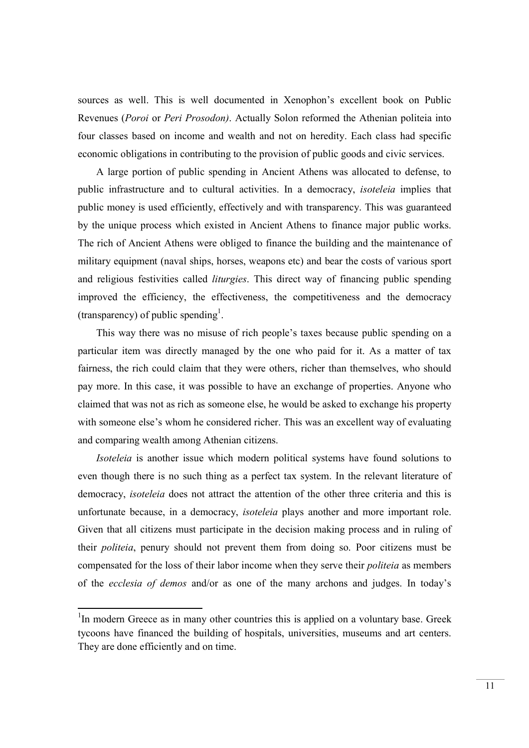sources as well. This is well documented in Xenophon's excellent book on Public Revenues (Poroi or Peri Prosodon). Actually Solon reformed the Athenian politeia into four classes based on income and wealth and not on heredity. Each class had specific economic obligations in contributing to the provision of public goods and civic services.

A large portion of public spending in Ancient Athens was allocated to defense, to public infrastructure and to cultural activities. In a democracy, isoteleia implies that public money is used efficiently, effectively and with transparency. This was guaranteed by the unique process which existed in Ancient Athens to finance major public works. The rich of Ancient Athens were obliged to finance the building and the maintenance of military equipment (naval ships, horses, weapons etc) and bear the costs of various sport and religious festivities called *liturgies*. This direct way of financing public spending improved the efficiency, the effectiveness, the competitiveness and the democracy (transparency) of public spending<sup>1</sup>.

This way there was no misuse of rich people's taxes because public spending on a particular item was directly managed by the one who paid for it. As a matter of tax fairness, the rich could claim that they were others, richer than themselves, who should pay more. In this case, it was possible to have an exchange of properties. Anyone who claimed that was not as rich as someone else, he would be asked to exchange his property with someone else's whom he considered richer. This was an excellent way of evaluating and comparing wealth among Athenian citizens.

Isoteleia is another issue which modern political systems have found solutions to even though there is no such thing as a perfect tax system. In the relevant literature of democracy, isoteleia does not attract the attention of the other three criteria and this is unfortunate because, in a democracy, isoteleia plays another and more important role. Given that all citizens must participate in the decision making process and in ruling of their politeia, penury should not prevent them from doing so. Poor citizens must be compensated for the loss of their labor income when they serve their politeia as members of the ecclesia of demos and/or as one of the many archons and judges. In today's

 $1$ In modern Greece as in many other countries this is applied on a voluntary base. Greek tycoons have financed the building of hospitals, universities, museums and art centers. They are done efficiently and on time.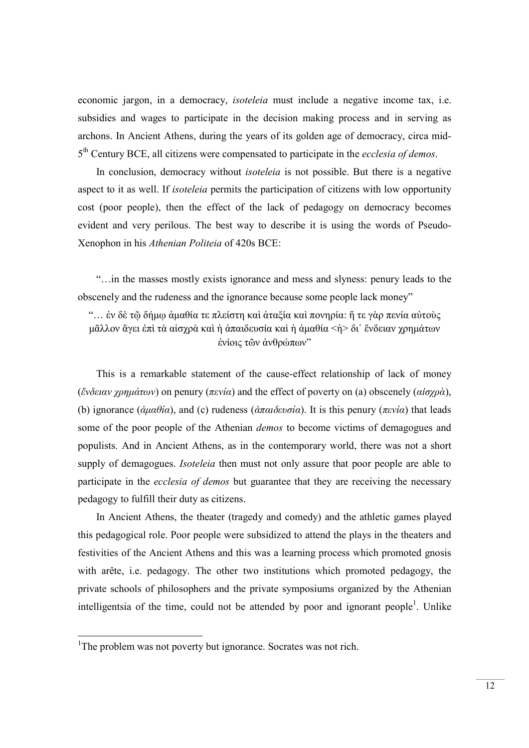economic jargon, in a democracy, isoteleia must include a negative income tax, i.e. subsidies and wages to participate in the decision making process and in serving as archons. In Ancient Athens, during the years of its golden age of democracy, circa mid-5<sup>th</sup> Century BCE, all citizens were compensated to participate in the *ecclesia of demos*.

In conclusion, democracy without isoteleia is not possible. But there is a negative aspect to it as well. If isoteleia permits the participation of citizens with low opportunity cost (poor people), then the effect of the lack of pedagogy on democracy becomes evident and very perilous. The best way to describe it is using the words of Pseudo-Xenophon in his Athenian Politeia of 420s BCE:

"…in the masses mostly exists ignorance and mess and slyness: penury leads to the obscenely and the rudeness and the ignorance because some people lack money"

"… ἐν δὲ τῷ δήμῳ ἀμαθία τε πλείστη καὶ ἀταξία καὶ πονηρία: ἥ τε γὰρ πενία αὐτοὺς μᾶλλον ἄγει ἐπὶ τὰ αἰσχρὰ καὶ ἡ ἀπαιδευσία καὶ ἡ ἀμαθία <ἡ> δι᾽ ἔνδειαν χρημάτων ἐνίοις τῶν ἀνθρώπων"

This is a remarkable statement of the cause-effect relationship of lack of money (ἔνδειαν χρημάτων) on penury (πενία) and the effect of poverty on (a) obscenely (αίσχρὰ), (b) ignorance ( $\dot{\alpha}\mu\alpha\theta i\alpha$ ), and (c) rudeness ( $\dot{\alpha}\pi\alpha i\delta\epsilon\nu\sigma i\alpha$ ). It is this penury ( $\pi\epsilon\nu i\alpha$ ) that leads some of the poor people of the Athenian *demos* to become victims of demagogues and populists. And in Ancient Athens, as in the contemporary world, there was not a short supply of demagogues. *Isoteleia* then must not only assure that poor people are able to participate in the *ecclesia of demos* but guarantee that they are receiving the necessary pedagogy to fulfill their duty as citizens.

In Ancient Athens, the theater (tragedy and comedy) and the athletic games played this pedagogical role. Poor people were subsidized to attend the plays in the theaters and festivities of the Ancient Athens and this was a learning process which promoted gnosis with arête, i.e. pedagogy. The other two institutions which promoted pedagogy, the private schools of philosophers and the private symposiums organized by the Athenian intelligentsia of the time, could not be attended by poor and ignorant people<sup>1</sup>. Unlike

<sup>&</sup>lt;sup>1</sup>The problem was not poverty but ignorance. Socrates was not rich.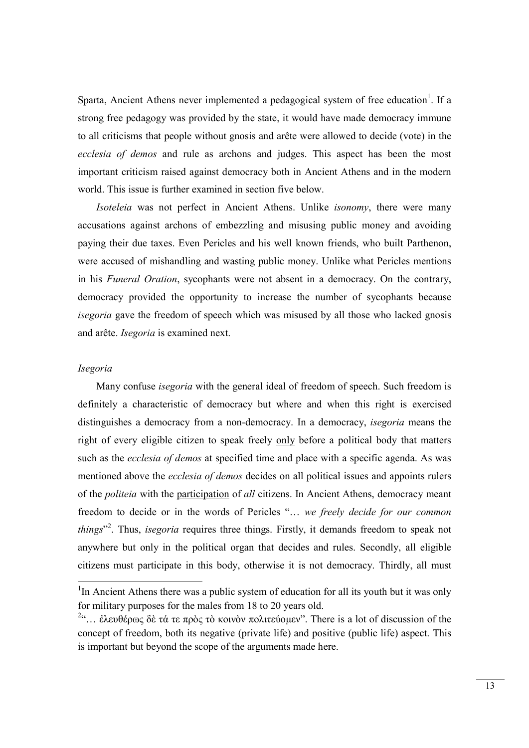Sparta, Ancient Athens never implemented a pedagogical system of free education<sup>1</sup>. If a strong free pedagogy was provided by the state, it would have made democracy immune to all criticisms that people without gnosis and arête were allowed to decide (vote) in the ecclesia of demos and rule as archons and judges. This aspect has been the most important criticism raised against democracy both in Ancient Athens and in the modern world. This issue is further examined in section five below.

Isoteleia was not perfect in Ancient Athens. Unlike isonomy, there were many accusations against archons of embezzling and misusing public money and avoiding paying their due taxes. Even Pericles and his well known friends, who built Parthenon, were accused of mishandling and wasting public money. Unlike what Pericles mentions in his Funeral Oration, sycophants were not absent in a democracy. On the contrary, democracy provided the opportunity to increase the number of sycophants because isegoria gave the freedom of speech which was misused by all those who lacked gnosis and arête. Isegoria is examined next.

# Isegoria

-

Many confuse isegoria with the general ideal of freedom of speech. Such freedom is definitely a characteristic of democracy but where and when this right is exercised distinguishes a democracy from a non-democracy. In a democracy, isegoria means the right of every eligible citizen to speak freely only before a political body that matters such as the *ecclesia of demos* at specified time and place with a specific agenda. As was mentioned above the ecclesia of demos decides on all political issues and appoints rulers of the politeia with the participation of all citizens. In Ancient Athens, democracy meant freedom to decide or in the words of Pericles "… we freely decide for our common *things*<sup>32</sup>. Thus, *isegoria* requires three things. Firstly, it demands freedom to speak not anywhere but only in the political organ that decides and rules. Secondly, all eligible citizens must participate in this body, otherwise it is not democracy. Thirdly, all must

<sup>&</sup>lt;sup>1</sup>In Ancient Athens there was a public system of education for all its youth but it was only for military purposes for the males from 18 to 20 years old.

<sup>&</sup>lt;sup>2</sup>"... ἐλευθέρως δὲ τά τε πρὸς τὸ κοινὸν πολιτεύομεν". There is a lot of discussion of the concept of freedom, both its negative (private life) and positive (public life) aspect. This is important but beyond the scope of the arguments made here.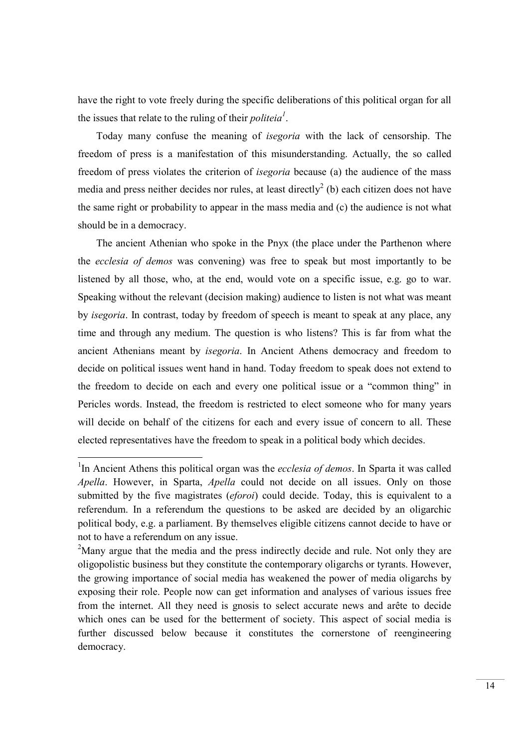have the right to vote freely during the specific deliberations of this political organ for all the issues that relate to the ruling of their *politeia*<sup> $1$ </sup>.

Today many confuse the meaning of isegoria with the lack of censorship. The freedom of press is a manifestation of this misunderstanding. Actually, the so called freedom of press violates the criterion of isegoria because (a) the audience of the mass media and press neither decides nor rules, at least directly<sup>2</sup> (b) each citizen does not have the same right or probability to appear in the mass media and (c) the audience is not what should be in a democracy.

The ancient Athenian who spoke in the Pnyx (the place under the Parthenon where the ecclesia of demos was convening) was free to speak but most importantly to be listened by all those, who, at the end, would vote on a specific issue, e.g. go to war. Speaking without the relevant (decision making) audience to listen is not what was meant by isegoria. In contrast, today by freedom of speech is meant to speak at any place, any time and through any medium. The question is who listens? This is far from what the ancient Athenians meant by isegoria. In Ancient Athens democracy and freedom to decide on political issues went hand in hand. Today freedom to speak does not extend to the freedom to decide on each and every one political issue or a "common thing" in Pericles words. Instead, the freedom is restricted to elect someone who for many years will decide on behalf of the citizens for each and every issue of concern to all. These elected representatives have the freedom to speak in a political body which decides.

<sup>&</sup>lt;sup>1</sup>In Ancient Athens this political organ was the *ecclesia of demos*. In Sparta it was called Apella. However, in Sparta, Apella could not decide on all issues. Only on those submitted by the five magistrates (*eforoi*) could decide. Today, this is equivalent to a referendum. In a referendum the questions to be asked are decided by an oligarchic political body, e.g. a parliament. By themselves eligible citizens cannot decide to have or not to have a referendum on any issue.

<sup>&</sup>lt;sup>2</sup>Many argue that the media and the press indirectly decide and rule. Not only they are oligopolistic business but they constitute the contemporary oligarchs or tyrants. However, the growing importance of social media has weakened the power of media oligarchs by exposing their role. People now can get information and analyses of various issues free from the internet. All they need is gnosis to select accurate news and arête to decide which ones can be used for the betterment of society. This aspect of social media is further discussed below because it constitutes the cornerstone of reengineering democracy.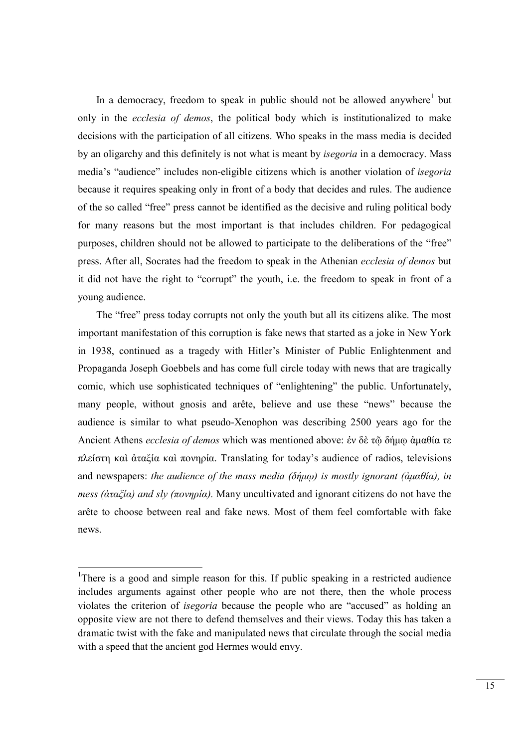In a democracy, freedom to speak in public should not be allowed anywhere<sup>1</sup> but only in the ecclesia of demos, the political body which is institutionalized to make decisions with the participation of all citizens. Who speaks in the mass media is decided by an oligarchy and this definitely is not what is meant by isegoria in a democracy. Mass media's "audience" includes non-eligible citizens which is another violation of isegoria because it requires speaking only in front of a body that decides and rules. The audience of the so called "free" press cannot be identified as the decisive and ruling political body for many reasons but the most important is that includes children. For pedagogical purposes, children should not be allowed to participate to the deliberations of the "free" press. After all, Socrates had the freedom to speak in the Athenian ecclesia of demos but it did not have the right to "corrupt" the youth, i.e. the freedom to speak in front of a young audience.

The "free" press today corrupts not only the youth but all its citizens alike. The most important manifestation of this corruption is fake news that started as a joke in New York in 1938, continued as a tragedy with Hitler's Minister of Public Enlightenment and Propaganda Joseph Goebbels and has come full circle today with news that are tragically comic, which use sophisticated techniques of "enlightening" the public. Unfortunately, many people, without gnosis and arête, believe and use these "news" because the audience is similar to what pseudo-Xenophon was describing 2500 years ago for the Ancient Athens ecclesia of demos which was mentioned above: ἐν δὲ τῷ δήμῳ ἀμαθία τε πλείστη καὶ ἀταξία καὶ πονηρία. Translating for today's audience of radios, televisions and newspapers: the audience of the mass media (δήμω) is mostly ignorant (άμαθία), in *mess (αταξία) and sly (πονηρία).* Many uncultivated and ignorant citizens do not have the arête to choose between real and fake news. Most of them feel comfortable with fake news.

<sup>&</sup>lt;sup>1</sup>There is a good and simple reason for this. If public speaking in a restricted audience includes arguments against other people who are not there, then the whole process violates the criterion of isegoria because the people who are "accused" as holding an opposite view are not there to defend themselves and their views. Today this has taken a dramatic twist with the fake and manipulated news that circulate through the social media with a speed that the ancient god Hermes would envy.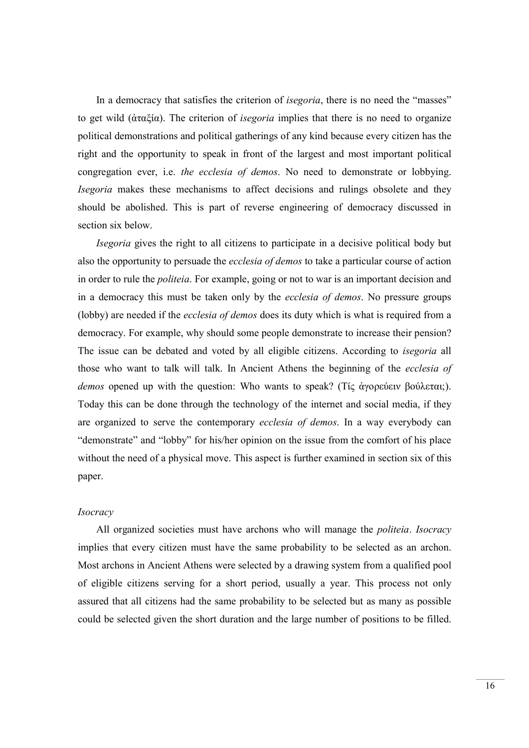In a democracy that satisfies the criterion of *isegoria*, there is no need the "masses" to get wild (ἀταξία). The criterion of isegoria implies that there is no need to organize political demonstrations and political gatherings of any kind because every citizen has the right and the opportunity to speak in front of the largest and most important political congregation ever, i.e. the ecclesia of demos. No need to demonstrate or lobbying. Isegoria makes these mechanisms to affect decisions and rulings obsolete and they should be abolished. This is part of reverse engineering of democracy discussed in section six below.

Isegoria gives the right to all citizens to participate in a decisive political body but also the opportunity to persuade the ecclesia of demos to take a particular course of action in order to rule the politeia. For example, going or not to war is an important decision and in a democracy this must be taken only by the *ecclesia of demos*. No pressure groups (lobby) are needed if the ecclesia of demos does its duty which is what is required from a democracy. For example, why should some people demonstrate to increase their pension? The issue can be debated and voted by all eligible citizens. According to *isegoria* all those who want to talk will talk. In Ancient Athens the beginning of the ecclesia of demos opened up with the question: Who wants to speak? (Τίς άγορεύειν βούλεται;). Today this can be done through the technology of the internet and social media, if they are organized to serve the contemporary ecclesia of demos. In a way everybody can "demonstrate" and "lobby" for his/her opinion on the issue from the comfort of his place without the need of a physical move. This aspect is further examined in section six of this paper.

# **Isocracy**

All organized societies must have archons who will manage the *politeia*. Isocracy implies that every citizen must have the same probability to be selected as an archon. Most archons in Ancient Athens were selected by a drawing system from a qualified pool of eligible citizens serving for a short period, usually a year. This process not only assured that all citizens had the same probability to be selected but as many as possible could be selected given the short duration and the large number of positions to be filled.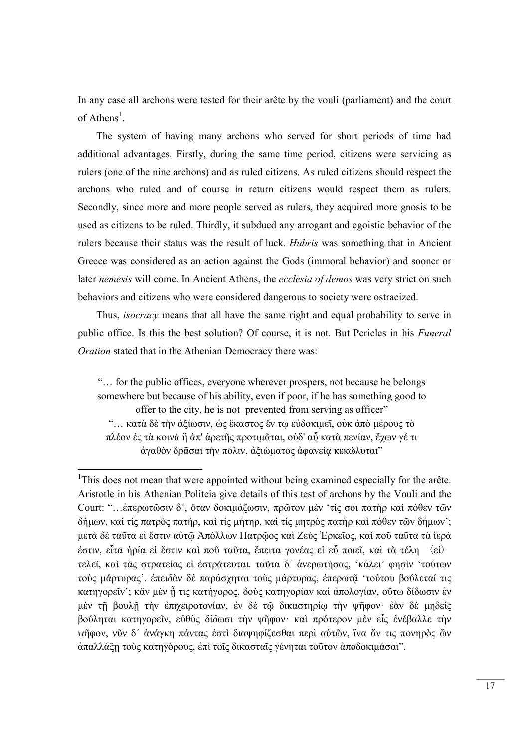In any case all archons were tested for their arête by the vouli (parliament) and the court of Athens<sup>1</sup>.

The system of having many archons who served for short periods of time had additional advantages. Firstly, during the same time period, citizens were servicing as rulers (one of the nine archons) and as ruled citizens. As ruled citizens should respect the archons who ruled and of course in return citizens would respect them as rulers. Secondly, since more and more people served as rulers, they acquired more gnosis to be used as citizens to be ruled. Thirdly, it subdued any arrogant and egoistic behavior of the rulers because their status was the result of luck. Hubris was something that in Ancient Greece was considered as an action against the Gods (immoral behavior) and sooner or later nemesis will come. In Ancient Athens, the ecclesia of demos was very strict on such behaviors and citizens who were considered dangerous to society were ostracized.

Thus, isocracy means that all have the same right and equal probability to serve in public office. Is this the best solution? Of course, it is not. But Pericles in his Funeral Oration stated that in the Athenian Democracy there was:

"… for the public offices, everyone wherever prospers, not because he belongs somewhere but because of his ability, even if poor, if he has something good to offer to the city, he is not prevented from serving as officer" "… κατὰ δὲ τὴν ἀξίωσιν, ὡς ἕκαστος ἔν τῳ εὐδοκιμεῖ, οὐκ ἀπὸ μέρους τὸ πλέον ἐς τὰ κοινὰ ἢ ἀπ' ἀρετῆς προτιμᾶται, οὐδ' αὖ κατὰ πενίαν, ἔχων γέ τι ἀγαθὸν δρᾶσαι τὴν πόλιν, ἀξιώματος ἀφανείᾳ κεκώλυται"

<sup>&</sup>lt;sup>1</sup>This does not mean that were appointed without being examined especially for the arête. Aristotle in his Athenian Politeia give details of this test of archons by the Vouli and the Court: "…ἐπερωτῶσιν δ´, ὅταν δοκιμάζωσιν, πρῶτον μὲν 'τίς σοι πατὴρ καὶ πόθεν τῶν δήμων, καὶ τίς πατρὸς πατήρ, καὶ τίς μήτηρ, καὶ τίς μητρὸς πατὴρ καὶ πόθεν τῶν δήμων'; μετὰ δὲ ταῦτα εἰ ἔστιν αὐτῷ Ἀπόλλων Πατρῷος καὶ Ζεὺς Ἑρκεῖος, καὶ ποῦ ταῦτα τὰ ἱερά ἐστιν, εἶτα ἠρία εἰ ἔστιν καὶ ποῦ ταῦτα, ἔπειτα γονέας εἰ εὖ ποιεῖ, καὶ τὰ τέλη 〈εἰ〉 τελεῖ, καὶ τὰς στρατείας εἰ ἐστράτευται. ταῦτα δ´ ἀνερωτήσας, 'κάλει' φησὶν 'τούτων τούς μάρτυρας'. ἐπειδὰν δὲ παράσχηται τούς μάρτυρας, ἐπερωτῷ 'τούτου βούλεταί τις κατηγορεῖν'; κἂν μὲν ἦ τις κατήγορος, δούς κατηγορίαν καὶ ἀπολογίαν, οὕτω δίδωσιν ἐν μὲν τῇ βουλῇ τὴν ἐπιχειροτονίαν, ἐν δὲ τῷ δικαστηρίῳ τὴν ψῆφον· ἐὰν δὲ μηδεὶς βούληται κατηγορεῖν, εὐθὺς δίδωσι τὴν ψῆφον· καὶ πρότερον μὲν εἷς ἐνέβαλλε τὴν ψῆφον, νῦν δ´ ἀνάγκη πάντας ἐστὶ διαψηφίζεσθαι περὶ αὐτῶν, ἵνα ἄν τις πονηρὸς ὢν ἀπαλλάξῃ τοὺς κατηγόρους, ἐπὶ τοῖς δικασταῖς γένηται τοῦτον ἀποδοκιμάσαι".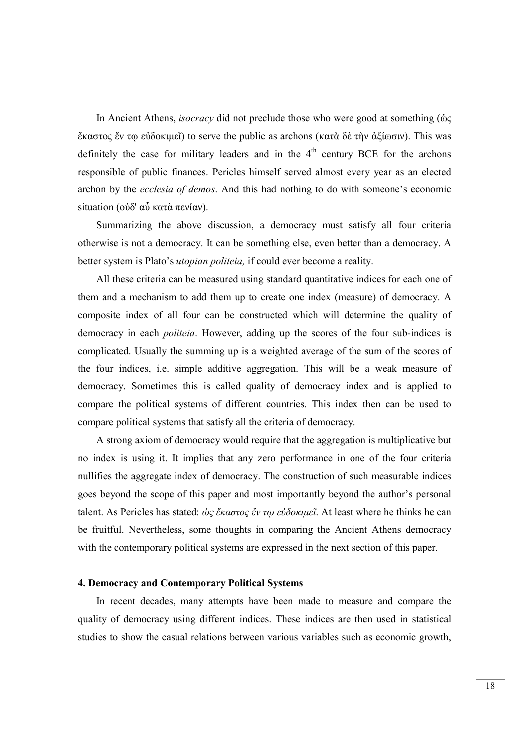In Ancient Athens, isocracy did not preclude those who were good at something (ὡς ἕκαστος ἔν τῳ εὐδοκιμεῖ) to serve the public as archons (κατὰ δὲ τὴν ἀξίωσιν). This was definitely the case for military leaders and in the  $4<sup>th</sup>$  century BCE for the archons responsible of public finances. Pericles himself served almost every year as an elected archon by the ecclesia of demos. And this had nothing to do with someone's economic situation (οὐδ' αὖ κατὰ πενίαν).

Summarizing the above discussion, a democracy must satisfy all four criteria otherwise is not a democracy. It can be something else, even better than a democracy. A better system is Plato's utopian politeia, if could ever become a reality.

All these criteria can be measured using standard quantitative indices for each one of them and a mechanism to add them up to create one index (measure) of democracy. A composite index of all four can be constructed which will determine the quality of democracy in each politeia. However, adding up the scores of the four sub-indices is complicated. Usually the summing up is a weighted average of the sum of the scores of the four indices, i.e. simple additive aggregation. This will be a weak measure of democracy. Sometimes this is called quality of democracy index and is applied to compare the political systems of different countries. This index then can be used to compare political systems that satisfy all the criteria of democracy.

A strong axiom of democracy would require that the aggregation is multiplicative but no index is using it. It implies that any zero performance in one of the four criteria nullifies the aggregate index of democracy. The construction of such measurable indices goes beyond the scope of this paper and most importantly beyond the author's personal talent. As Pericles has stated: ώς ἕκαστος ἔν τω εὐδοκιμεῖ. At least where he thinks he can be fruitful. Nevertheless, some thoughts in comparing the Ancient Athens democracy with the contemporary political systems are expressed in the next section of this paper.

#### 4. Democracy and Contemporary Political Systems

In recent decades, many attempts have been made to measure and compare the quality of democracy using different indices. These indices are then used in statistical studies to show the casual relations between various variables such as economic growth,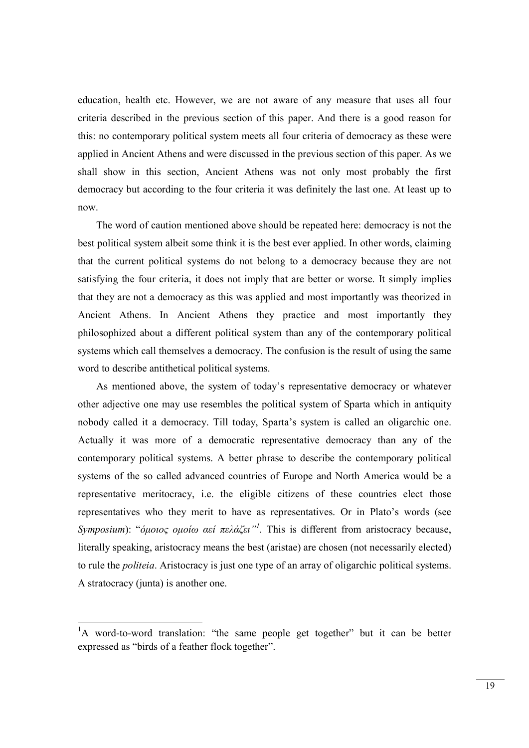education, health etc. However, we are not aware of any measure that uses all four criteria described in the previous section of this paper. And there is a good reason for this: no contemporary political system meets all four criteria of democracy as these were applied in Ancient Athens and were discussed in the previous section of this paper. As we shall show in this section, Ancient Athens was not only most probably the first democracy but according to the four criteria it was definitely the last one. At least up to now.

The word of caution mentioned above should be repeated here: democracy is not the best political system albeit some think it is the best ever applied. In other words, claiming that the current political systems do not belong to a democracy because they are not satisfying the four criteria, it does not imply that are better or worse. It simply implies that they are not a democracy as this was applied and most importantly was theorized in Ancient Athens. In Ancient Athens they practice and most importantly they philosophized about a different political system than any of the contemporary political systems which call themselves a democracy. The confusion is the result of using the same word to describe antithetical political systems.

As mentioned above, the system of today's representative democracy or whatever other adjective one may use resembles the political system of Sparta which in antiquity nobody called it a democracy. Till today, Sparta's system is called an oligarchic one. Actually it was more of a democratic representative democracy than any of the contemporary political systems. A better phrase to describe the contemporary political systems of the so called advanced countries of Europe and North America would be a representative meritocracy, i.e. the eligible citizens of these countries elect those representatives who they merit to have as representatives. Or in Plato's words (see Symposium): "όμοιος ομοίω αεί πελάζει"<sup>1</sup>. This is different from aristocracy because, literally speaking, aristocracy means the best (aristae) are chosen (not necessarily elected) to rule the politeia. Aristocracy is just one type of an array of oligarchic political systems. A stratocracy (junta) is another one.

<sup>&</sup>lt;sup>1</sup>A word-to-word translation: "the same people get together" but it can be better expressed as "birds of a feather flock together".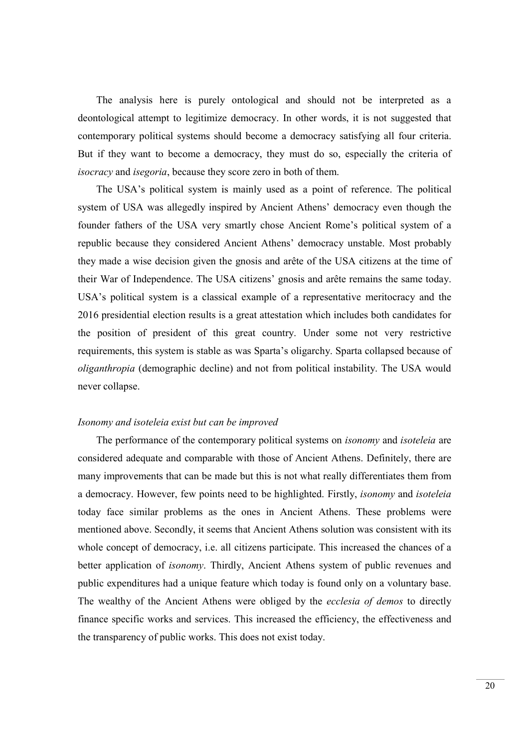The analysis here is purely ontological and should not be interpreted as a deontological attempt to legitimize democracy. In other words, it is not suggested that contemporary political systems should become a democracy satisfying all four criteria. But if they want to become a democracy, they must do so, especially the criteria of isocracy and isegoria, because they score zero in both of them.

The USA's political system is mainly used as a point of reference. The political system of USA was allegedly inspired by Ancient Athens' democracy even though the founder fathers of the USA very smartly chose Ancient Rome's political system of a republic because they considered Ancient Athens' democracy unstable. Most probably they made a wise decision given the gnosis and arête of the USA citizens at the time of their War of Independence. The USA citizens' gnosis and arête remains the same today. USA's political system is a classical example of a representative meritocracy and the 2016 presidential election results is a great attestation which includes both candidates for the position of president of this great country. Under some not very restrictive requirements, this system is stable as was Sparta's oligarchy. Sparta collapsed because of oliganthropia (demographic decline) and not from political instability. The USA would never collapse.

# Isonomy and isoteleia exist but can be improved

The performance of the contemporary political systems on *isonomy* and *isoteleia* are considered adequate and comparable with those of Ancient Athens. Definitely, there are many improvements that can be made but this is not what really differentiates them from a democracy. However, few points need to be highlighted. Firstly, isonomy and isoteleia today face similar problems as the ones in Ancient Athens. These problems were mentioned above. Secondly, it seems that Ancient Athens solution was consistent with its whole concept of democracy, i.e. all citizens participate. This increased the chances of a better application of isonomy. Thirdly, Ancient Athens system of public revenues and public expenditures had a unique feature which today is found only on a voluntary base. The wealthy of the Ancient Athens were obliged by the *ecclesia of demos* to directly finance specific works and services. This increased the efficiency, the effectiveness and the transparency of public works. This does not exist today.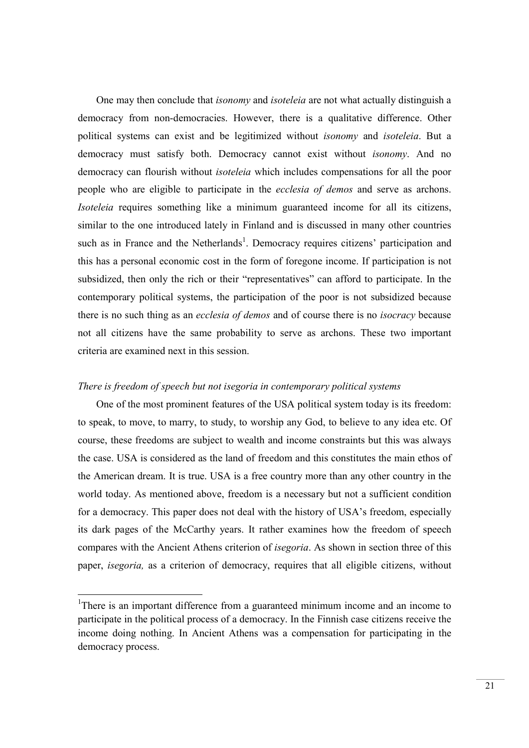One may then conclude that isonomy and isoteleia are not what actually distinguish a democracy from non-democracies. However, there is a qualitative difference. Other political systems can exist and be legitimized without isonomy and isoteleia. But a democracy must satisfy both. Democracy cannot exist without isonomy. And no democracy can flourish without isoteleia which includes compensations for all the poor people who are eligible to participate in the ecclesia of demos and serve as archons. Isoteleia requires something like a minimum guaranteed income for all its citizens, similar to the one introduced lately in Finland and is discussed in many other countries such as in France and the Netherlands<sup>1</sup>. Democracy requires citizens' participation and this has a personal economic cost in the form of foregone income. If participation is not subsidized, then only the rich or their "representatives" can afford to participate. In the contemporary political systems, the participation of the poor is not subsidized because there is no such thing as an *ecclesia of demos* and of course there is no *isocracy* because not all citizens have the same probability to serve as archons. These two important criteria are examined next in this session.

# There is freedom of speech but not isegoria in contemporary political systems

One of the most prominent features of the USA political system today is its freedom: to speak, to move, to marry, to study, to worship any God, to believe to any idea etc. Of course, these freedoms are subject to wealth and income constraints but this was always the case. USA is considered as the land of freedom and this constitutes the main ethos of the American dream. It is true. USA is a free country more than any other country in the world today. As mentioned above, freedom is a necessary but not a sufficient condition for a democracy. This paper does not deal with the history of USA's freedom, especially its dark pages of the McCarthy years. It rather examines how the freedom of speech compares with the Ancient Athens criterion of isegoria. As shown in section three of this paper, isegoria, as a criterion of democracy, requires that all eligible citizens, without

<sup>&</sup>lt;sup>1</sup>There is an important difference from a guaranteed minimum income and an income to participate in the political process of a democracy. In the Finnish case citizens receive the income doing nothing. In Ancient Athens was a compensation for participating in the democracy process.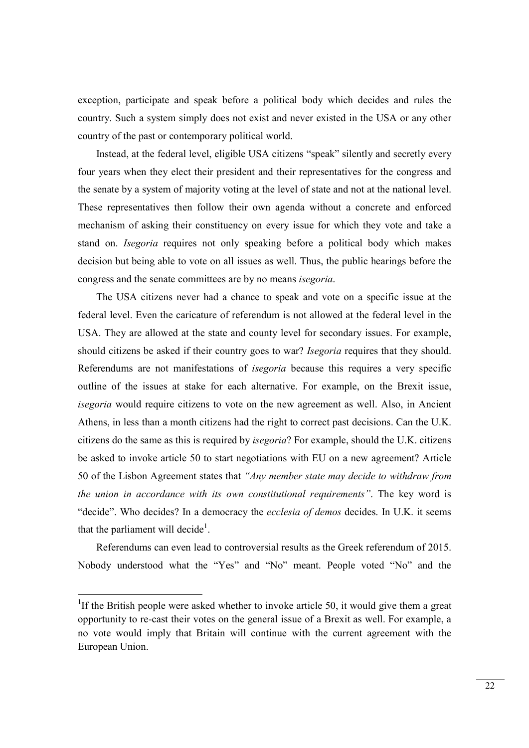exception, participate and speak before a political body which decides and rules the country. Such a system simply does not exist and never existed in the USA or any other country of the past or contemporary political world.

Instead, at the federal level, eligible USA citizens "speak" silently and secretly every four years when they elect their president and their representatives for the congress and the senate by a system of majority voting at the level of state and not at the national level. These representatives then follow their own agenda without a concrete and enforced mechanism of asking their constituency on every issue for which they vote and take a stand on. Isegoria requires not only speaking before a political body which makes decision but being able to vote on all issues as well. Thus, the public hearings before the congress and the senate committees are by no means isegoria.

The USA citizens never had a chance to speak and vote on a specific issue at the federal level. Even the caricature of referendum is not allowed at the federal level in the USA. They are allowed at the state and county level for secondary issues. For example, should citizens be asked if their country goes to war? Isegoria requires that they should. Referendums are not manifestations of isegoria because this requires a very specific outline of the issues at stake for each alternative. For example, on the Brexit issue, isegoria would require citizens to vote on the new agreement as well. Also, in Ancient Athens, in less than a month citizens had the right to correct past decisions. Can the U.K. citizens do the same as this is required by isegoria? For example, should the U.K. citizens be asked to invoke article 50 to start negotiations with EU on a new agreement? Article 50 of the Lisbon Agreement states that "Any member state may decide to withdraw from the union in accordance with its own constitutional requirements". The key word is "decide". Who decides? In a democracy the *ecclesia of demos* decides. In U.K. it seems that the parliament will decide<sup>1</sup>.

Referendums can even lead to controversial results as the Greek referendum of 2015. Nobody understood what the "Yes" and "No" meant. People voted "No" and the

<sup>&</sup>lt;sup>1</sup>If the British people were asked whether to invoke article 50, it would give them a great opportunity to re-cast their votes on the general issue of a Brexit as well. For example, a no vote would imply that Britain will continue with the current agreement with the European Union.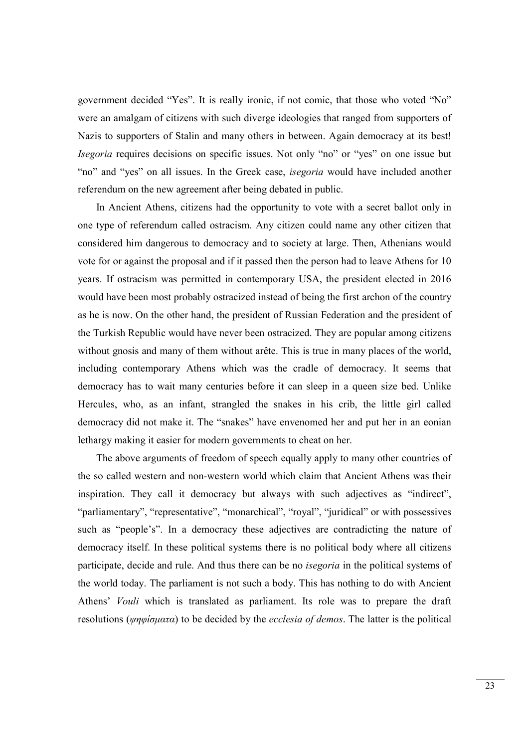government decided "Yes". It is really ironic, if not comic, that those who voted "No" were an amalgam of citizens with such diverge ideologies that ranged from supporters of Nazis to supporters of Stalin and many others in between. Again democracy at its best! Isegoria requires decisions on specific issues. Not only "no" or "yes" on one issue but "no" and "yes" on all issues. In the Greek case, *isegoria* would have included another referendum on the new agreement after being debated in public.

In Ancient Athens, citizens had the opportunity to vote with a secret ballot only in one type of referendum called ostracism. Any citizen could name any other citizen that considered him dangerous to democracy and to society at large. Then, Athenians would vote for or against the proposal and if it passed then the person had to leave Athens for 10 years. If ostracism was permitted in contemporary USA, the president elected in 2016 would have been most probably ostracized instead of being the first archon of the country as he is now. On the other hand, the president of Russian Federation and the president of the Turkish Republic would have never been ostracized. They are popular among citizens without gnosis and many of them without arête. This is true in many places of the world, including contemporary Athens which was the cradle of democracy. It seems that democracy has to wait many centuries before it can sleep in a queen size bed. Unlike Hercules, who, as an infant, strangled the snakes in his crib, the little girl called democracy did not make it. The "snakes" have envenomed her and put her in an eonian lethargy making it easier for modern governments to cheat on her.

The above arguments of freedom of speech equally apply to many other countries of the so called western and non-western world which claim that Ancient Athens was their inspiration. They call it democracy but always with such adjectives as "indirect", "parliamentary", "representative", "monarchical", "royal", "juridical" or with possessives such as "people's". In a democracy these adjectives are contradicting the nature of democracy itself. In these political systems there is no political body where all citizens participate, decide and rule. And thus there can be no isegoria in the political systems of the world today. The parliament is not such a body. This has nothing to do with Ancient Athens' Vouli which is translated as parliament. Its role was to prepare the draft resolutions (ψηφίσματα) to be decided by the *ecclesia of demos*. The latter is the political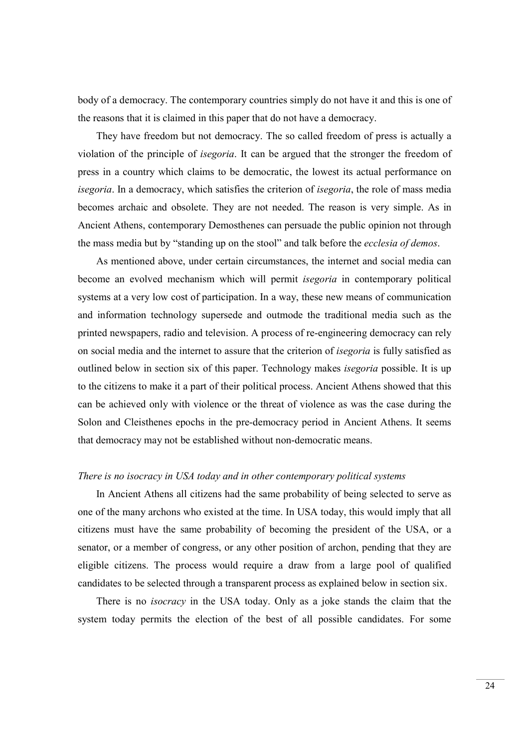body of a democracy. The contemporary countries simply do not have it and this is one of the reasons that it is claimed in this paper that do not have a democracy.

They have freedom but not democracy. The so called freedom of press is actually a violation of the principle of isegoria. It can be argued that the stronger the freedom of press in a country which claims to be democratic, the lowest its actual performance on isegoria. In a democracy, which satisfies the criterion of *isegoria*, the role of mass media becomes archaic and obsolete. They are not needed. The reason is very simple. As in Ancient Athens, contemporary Demosthenes can persuade the public opinion not through the mass media but by "standing up on the stool" and talk before the ecclesia of demos.

As mentioned above, under certain circumstances, the internet and social media can become an evolved mechanism which will permit isegoria in contemporary political systems at a very low cost of participation. In a way, these new means of communication and information technology supersede and outmode the traditional media such as the printed newspapers, radio and television. A process of re-engineering democracy can rely on social media and the internet to assure that the criterion of isegoria is fully satisfied as outlined below in section six of this paper. Technology makes *isegoria* possible. It is up to the citizens to make it a part of their political process. Ancient Athens showed that this can be achieved only with violence or the threat of violence as was the case during the Solon and Cleisthenes epochs in the pre-democracy period in Ancient Athens. It seems that democracy may not be established without non-democratic means.

# There is no isocracy in USA today and in other contemporary political systems

In Ancient Athens all citizens had the same probability of being selected to serve as one of the many archons who existed at the time. In USA today, this would imply that all citizens must have the same probability of becoming the president of the USA, or a senator, or a member of congress, or any other position of archon, pending that they are eligible citizens. The process would require a draw from a large pool of qualified candidates to be selected through a transparent process as explained below in section six.

There is no isocracy in the USA today. Only as a joke stands the claim that the system today permits the election of the best of all possible candidates. For some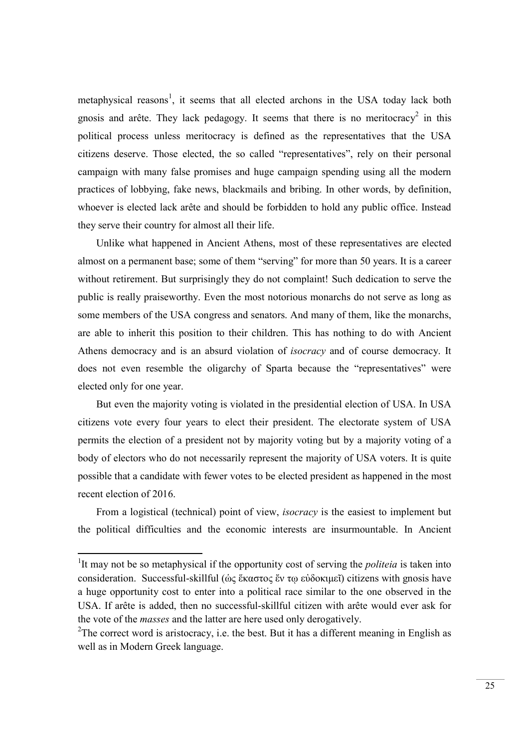metaphysical reasons<sup>1</sup>, it seems that all elected archons in the USA today lack both gnosis and arête. They lack pedagogy. It seems that there is no meritocracy<sup>2</sup> in this political process unless meritocracy is defined as the representatives that the USA citizens deserve. Those elected, the so called "representatives", rely on their personal campaign with many false promises and huge campaign spending using all the modern practices of lobbying, fake news, blackmails and bribing. In other words, by definition, whoever is elected lack arête and should be forbidden to hold any public office. Instead they serve their country for almost all their life.

Unlike what happened in Ancient Athens, most of these representatives are elected almost on a permanent base; some of them "serving" for more than 50 years. It is a career without retirement. But surprisingly they do not complaint! Such dedication to serve the public is really praiseworthy. Even the most notorious monarchs do not serve as long as some members of the USA congress and senators. And many of them, like the monarchs, are able to inherit this position to their children. This has nothing to do with Ancient Athens democracy and is an absurd violation of isocracy and of course democracy. It does not even resemble the oligarchy of Sparta because the "representatives" were elected only for one year.

But even the majority voting is violated in the presidential election of USA. In USA citizens vote every four years to elect their president. The electorate system of USA permits the election of a president not by majority voting but by a majority voting of a body of electors who do not necessarily represent the majority of USA voters. It is quite possible that a candidate with fewer votes to be elected president as happened in the most recent election of 2016.

From a logistical (technical) point of view, isocracy is the easiest to implement but the political difficulties and the economic interests are insurmountable. In Ancient

<sup>&</sup>lt;sup>1</sup>It may not be so metaphysical if the opportunity cost of serving the *politeia* is taken into consideration. Successful-skillful (ὡς ἕκαστος ἔν τῳ εὐδοκιμεῖ) citizens with gnosis have a huge opportunity cost to enter into a political race similar to the one observed in the USA. If arête is added, then no successful-skillful citizen with arête would ever ask for the vote of the masses and the latter are here used only derogatively.

<sup>&</sup>lt;sup>2</sup>The correct word is aristocracy, i.e. the best. But it has a different meaning in English as well as in Modern Greek language.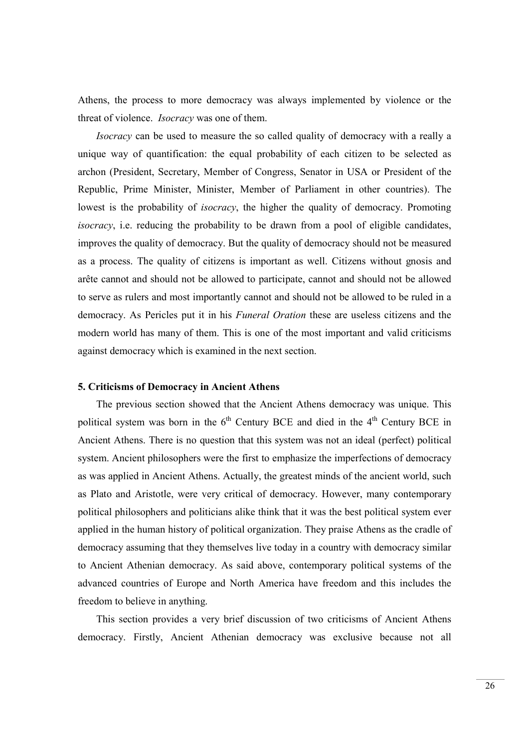Athens, the process to more democracy was always implemented by violence or the threat of violence. Isocracy was one of them.

Isocracy can be used to measure the so called quality of democracy with a really a unique way of quantification: the equal probability of each citizen to be selected as archon (President, Secretary, Member of Congress, Senator in USA or President of the Republic, Prime Minister, Minister, Member of Parliament in other countries). The lowest is the probability of *isocracy*, the higher the quality of democracy. Promoting isocracy, i.e. reducing the probability to be drawn from a pool of eligible candidates, improves the quality of democracy. But the quality of democracy should not be measured as a process. The quality of citizens is important as well. Citizens without gnosis and arête cannot and should not be allowed to participate, cannot and should not be allowed to serve as rulers and most importantly cannot and should not be allowed to be ruled in a democracy. As Pericles put it in his Funeral Oration these are useless citizens and the modern world has many of them. This is one of the most important and valid criticisms against democracy which is examined in the next section.

# 5. Criticisms of Democracy in Ancient Athens

The previous section showed that the Ancient Athens democracy was unique. This political system was born in the  $6<sup>th</sup>$  Century BCE and died in the  $4<sup>th</sup>$  Century BCE in Ancient Athens. There is no question that this system was not an ideal (perfect) political system. Ancient philosophers were the first to emphasize the imperfections of democracy as was applied in Ancient Athens. Actually, the greatest minds of the ancient world, such as Plato and Aristotle, were very critical of democracy. However, many contemporary political philosophers and politicians alike think that it was the best political system ever applied in the human history of political organization. They praise Athens as the cradle of democracy assuming that they themselves live today in a country with democracy similar to Ancient Athenian democracy. As said above, contemporary political systems of the advanced countries of Europe and North America have freedom and this includes the freedom to believe in anything.

This section provides a very brief discussion of two criticisms of Ancient Athens democracy. Firstly, Ancient Athenian democracy was exclusive because not all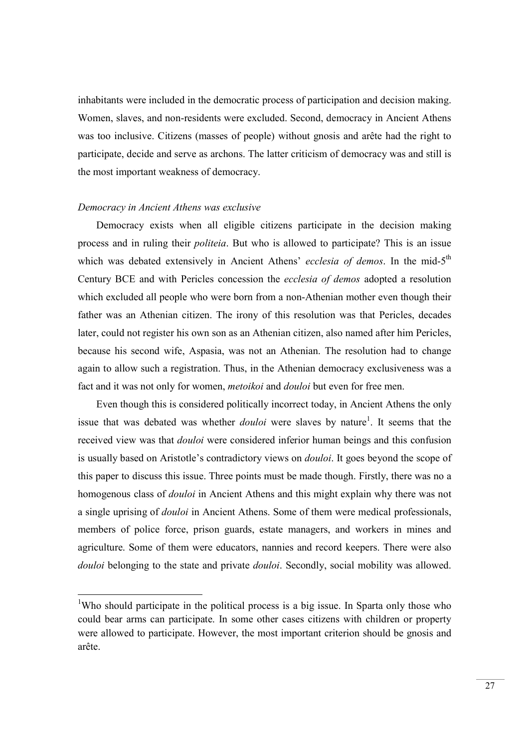inhabitants were included in the democratic process of participation and decision making. Women, slaves, and non-residents were excluded. Second, democracy in Ancient Athens was too inclusive. Citizens (masses of people) without gnosis and arête had the right to participate, decide and serve as archons. The latter criticism of democracy was and still is the most important weakness of democracy.

## Democracy in Ancient Athens was exclusive

-

Democracy exists when all eligible citizens participate in the decision making process and in ruling their politeia. But who is allowed to participate? This is an issue which was debated extensively in Ancient Athens' ecclesia of demos. In the mid-5<sup>th</sup> Century BCE and with Pericles concession the ecclesia of demos adopted a resolution which excluded all people who were born from a non-Athenian mother even though their father was an Athenian citizen. The irony of this resolution was that Pericles, decades later, could not register his own son as an Athenian citizen, also named after him Pericles, because his second wife, Aspasia, was not an Athenian. The resolution had to change again to allow such a registration. Thus, in the Athenian democracy exclusiveness was a fact and it was not only for women, *metoikoi* and *douloi* but even for free men.

Even though this is considered politically incorrect today, in Ancient Athens the only issue that was debated was whether *douloi* were slaves by nature<sup>1</sup>. It seems that the received view was that douloi were considered inferior human beings and this confusion is usually based on Aristotle's contradictory views on douloi. It goes beyond the scope of this paper to discuss this issue. Three points must be made though. Firstly, there was no a homogenous class of *douloi* in Ancient Athens and this might explain why there was not a single uprising of douloi in Ancient Athens. Some of them were medical professionals, members of police force, prison guards, estate managers, and workers in mines and agriculture. Some of them were educators, nannies and record keepers. There were also douloi belonging to the state and private *douloi*. Secondly, social mobility was allowed.

<sup>&</sup>lt;sup>1</sup>Who should participate in the political process is a big issue. In Sparta only those who could bear arms can participate. In some other cases citizens with children or property were allowed to participate. However, the most important criterion should be gnosis and arête.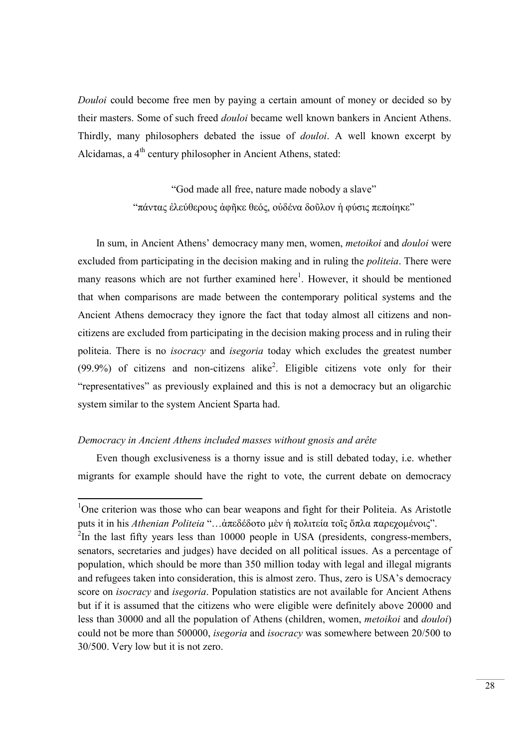Douloi could become free men by paying a certain amount of money or decided so by their masters. Some of such freed douloi became well known bankers in Ancient Athens. Thirdly, many philosophers debated the issue of douloi. A well known excerpt by Alcidamas, a 4<sup>th</sup> century philosopher in Ancient Athens, stated:

> "God made all free, nature made nobody a slave" "πάντας ἐλεύθερους ἀφῆκε θεός, οὐδένα δοῦλον ἡ φύσις πεποίηκε"

In sum, in Ancient Athens' democracy many men, women, metoikoi and douloi were excluded from participating in the decision making and in ruling the politeia. There were many reasons which are not further examined here<sup>1</sup>. However, it should be mentioned that when comparisons are made between the contemporary political systems and the Ancient Athens democracy they ignore the fact that today almost all citizens and noncitizens are excluded from participating in the decision making process and in ruling their politeia. There is no isocracy and isegoria today which excludes the greatest number  $(99.9%)$  of citizens and non-citizens alike<sup>2</sup>. Eligible citizens vote only for their "representatives" as previously explained and this is not a democracy but an oligarchic system similar to the system Ancient Sparta had.

## Democracy in Ancient Athens included masses without gnosis and arête

-

Even though exclusiveness is a thorny issue and is still debated today, i.e. whether migrants for example should have the right to vote, the current debate on democracy

<sup>&</sup>lt;sup>1</sup>One criterion was those who can bear weapons and fight for their Politeia. As Aristotle puts it in his Athenian Politeia "…ἀπεδέδοτο μὲν ἡ πολιτεία τοῖς ὅπλα παρεχομένοις".  $2$ In the last fifty years less than 10000 people in USA (presidents, congress-members, senators, secretaries and judges) have decided on all political issues. As a percentage of population, which should be more than 350 million today with legal and illegal migrants and refugees taken into consideration, this is almost zero. Thus, zero is USA's democracy score on *isocracy* and *isegoria*. Population statistics are not available for Ancient Athens but if it is assumed that the citizens who were eligible were definitely above 20000 and less than 30000 and all the population of Athens (children, women, metoikoi and douloi) could not be more than 500000, isegoria and isocracy was somewhere between 20/500 to 30/500. Very low but it is not zero.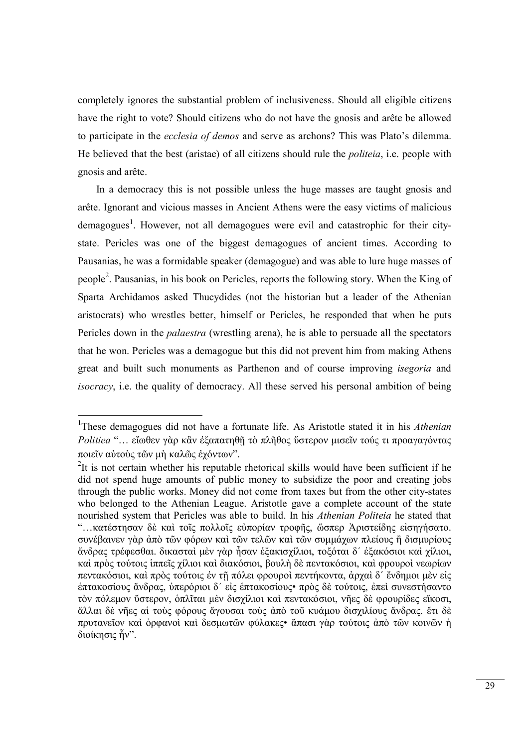completely ignores the substantial problem of inclusiveness. Should all eligible citizens have the right to vote? Should citizens who do not have the gnosis and arête be allowed to participate in the ecclesia of demos and serve as archons? This was Plato's dilemma. He believed that the best (aristae) of all citizens should rule the politeia, i.e. people with gnosis and arête.

In a democracy this is not possible unless the huge masses are taught gnosis and arête. Ignorant and vicious masses in Ancient Athens were the easy victims of malicious demagogues<sup>1</sup>. However, not all demagogues were evil and catastrophic for their citystate. Pericles was one of the biggest demagogues of ancient times. According to Pausanias, he was a formidable speaker (demagogue) and was able to lure huge masses of people<sup>2</sup>. Pausanias, in his book on Pericles, reports the following story. When the King of Sparta Archidamos asked Thucydides (not the historian but a leader of the Athenian aristocrats) who wrestles better, himself or Pericles, he responded that when he puts Pericles down in the *palaestra* (wrestling arena), he is able to persuade all the spectators that he won. Pericles was a demagogue but this did not prevent him from making Athens great and built such monuments as Parthenon and of course improving isegoria and isocracy, i.e. the quality of democracy. All these served his personal ambition of being

<sup>&</sup>lt;sup>1</sup>These demagogues did not have a fortunate life. As Aristotle stated it in his Athenian Politiea "... εἴωθεν γὰρ κἂν ἐξαπατηθῆ τὸ πλῆθος ὕστερον μισεῖν τούς τι προαγαγόντας ποιεῖν αὐτοὺς τῶν μὴ καλῶς ἐχόντων".

 $2$ It is not certain whether his reputable rhetorical skills would have been sufficient if he did not spend huge amounts of public money to subsidize the poor and creating jobs through the public works. Money did not come from taxes but from the other city-states who belonged to the Athenian League. Aristotle gave a complete account of the state nourished system that Pericles was able to build. In his Athenian Politeia he stated that "…κατέστησαν δὲ καὶ τοῖς πολλοῖς εὐπορίαν τροφῆς, ὥσπερ Ἀριστείδης εἰσηγήσατο. συνέβαινεν γὰρ ἀπὸ τῶν φόρων καὶ τῶν τελῶν καὶ τῶν συμμάχων πλείους ἢ δισμυρίους ἄνδρας τρέφεσθαι. δικασταὶ μὲν γὰρ ἦσαν ἑξακισχίλιοι, τοξόται δ´ ἑξακόσιοι καὶ χίλιοι, καὶ πρὸς τούτοις ἱππεῖς χίλιοι καὶ διακόσιοι, βουλὴ δὲ πεντακόσιοι, καὶ φρουροὶ νεωρίων πεντακόσιοι, καὶ πρὸς τούτοις ἐν τῇ πόλει φρουροὶ πεντήκοντα, ἀρχαὶ δ´ ἔνδημοι μὲν εἰς ἑπτακοσίους ἄνδρας, ὑπερόριοι δ´ εἰς ἑπτακοσίους• πρὸς δὲ τούτοις, ἐπεὶ συνεστήσαντο τὸν πόλεμον ὕστερον, ὁπλῖται μὲν δισχίλιοι καὶ πεντακόσιοι, νῆες δὲ φρουρίδες εἴκοσι, ἄλλαι δὲ νῆες αἱ τοὺς φόρους ἄγουσαι τοὺς ἀπὸ τοῦ κυάμου δισχιλίους ἄνδρας. ἔτι δὲ πρυτανεῖον καὶ ὀρφανοὶ καὶ δεσμωτῶν φύλακες• ἅπασι γὰρ τούτοις ἀπὸ τῶν κοινῶν ἡ διοίκησις ἦν".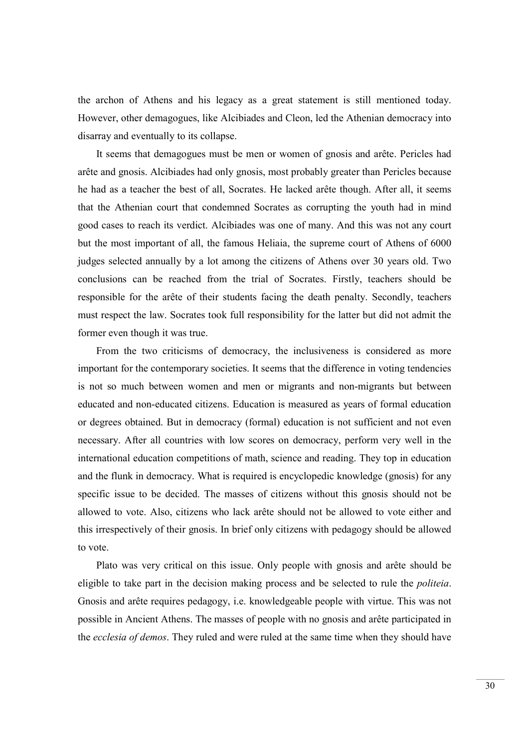the archon of Athens and his legacy as a great statement is still mentioned today. However, other demagogues, like Alcibiades and Cleon, led the Athenian democracy into disarray and eventually to its collapse.

It seems that demagogues must be men or women of gnosis and arête. Pericles had arête and gnosis. Alcibiades had only gnosis, most probably greater than Pericles because he had as a teacher the best of all, Socrates. He lacked arête though. After all, it seems that the Athenian court that condemned Socrates as corrupting the youth had in mind good cases to reach its verdict. Alcibiades was one of many. And this was not any court but the most important of all, the famous Heliaia, the supreme court of Athens of 6000 judges selected annually by a lot among the citizens of Athens over 30 years old. Two conclusions can be reached from the trial of Socrates. Firstly, teachers should be responsible for the arête of their students facing the death penalty. Secondly, teachers must respect the law. Socrates took full responsibility for the latter but did not admit the former even though it was true.

From the two criticisms of democracy, the inclusiveness is considered as more important for the contemporary societies. It seems that the difference in voting tendencies is not so much between women and men or migrants and non-migrants but between educated and non-educated citizens. Education is measured as years of formal education or degrees obtained. But in democracy (formal) education is not sufficient and not even necessary. After all countries with low scores on democracy, perform very well in the international education competitions of math, science and reading. They top in education and the flunk in democracy. What is required is encyclopedic knowledge (gnosis) for any specific issue to be decided. The masses of citizens without this gnosis should not be allowed to vote. Also, citizens who lack arête should not be allowed to vote either and this irrespectively of their gnosis. In brief only citizens with pedagogy should be allowed to vote.

Plato was very critical on this issue. Only people with gnosis and arête should be eligible to take part in the decision making process and be selected to rule the *politeia*. Gnosis and arête requires pedagogy, i.e. knowledgeable people with virtue. This was not possible in Ancient Athens. The masses of people with no gnosis and arête participated in the *ecclesia of demos*. They ruled and were ruled at the same time when they should have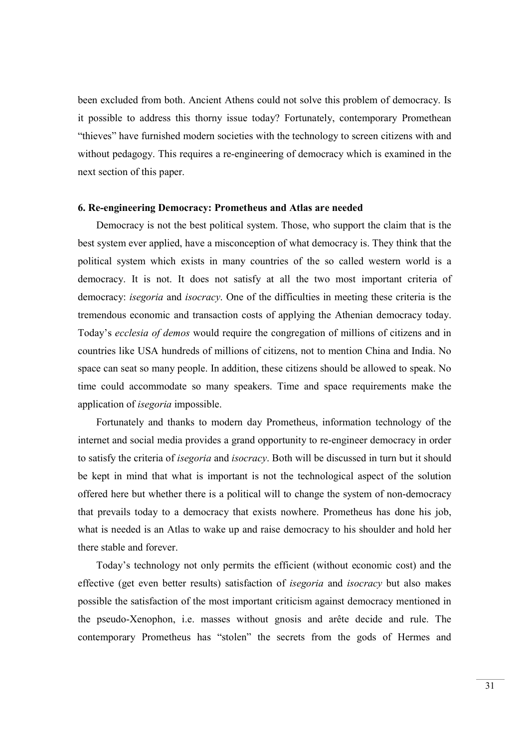been excluded from both. Ancient Athens could not solve this problem of democracy. Is it possible to address this thorny issue today? Fortunately, contemporary Promethean "thieves" have furnished modern societies with the technology to screen citizens with and without pedagogy. This requires a re-engineering of democracy which is examined in the next section of this paper.

## 6. Re-engineering Democracy: Prometheus and Atlas are needed

Democracy is not the best political system. Those, who support the claim that is the best system ever applied, have a misconception of what democracy is. They think that the political system which exists in many countries of the so called western world is a democracy. It is not. It does not satisfy at all the two most important criteria of democracy: isegoria and isocracy. One of the difficulties in meeting these criteria is the tremendous economic and transaction costs of applying the Athenian democracy today. Today's ecclesia of demos would require the congregation of millions of citizens and in countries like USA hundreds of millions of citizens, not to mention China and India. No space can seat so many people. In addition, these citizens should be allowed to speak. No time could accommodate so many speakers. Time and space requirements make the application of isegoria impossible.

Fortunately and thanks to modern day Prometheus, information technology of the internet and social media provides a grand opportunity to re-engineer democracy in order to satisfy the criteria of isegoria and isocracy. Both will be discussed in turn but it should be kept in mind that what is important is not the technological aspect of the solution offered here but whether there is a political will to change the system of non-democracy that prevails today to a democracy that exists nowhere. Prometheus has done his job, what is needed is an Atlas to wake up and raise democracy to his shoulder and hold her there stable and forever.

Today's technology not only permits the efficient (without economic cost) and the effective (get even better results) satisfaction of isegoria and isocracy but also makes possible the satisfaction of the most important criticism against democracy mentioned in the pseudo-Xenophon, i.e. masses without gnosis and arête decide and rule. The contemporary Prometheus has "stolen" the secrets from the gods of Hermes and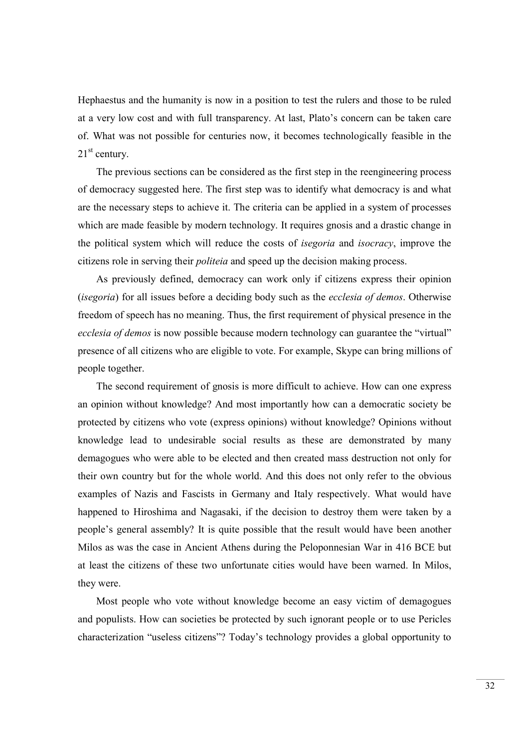Hephaestus and the humanity is now in a position to test the rulers and those to be ruled at a very low cost and with full transparency. At last, Plato's concern can be taken care of. What was not possible for centuries now, it becomes technologically feasible in the  $21<sup>st</sup>$  century.

The previous sections can be considered as the first step in the reengineering process of democracy suggested here. The first step was to identify what democracy is and what are the necessary steps to achieve it. The criteria can be applied in a system of processes which are made feasible by modern technology. It requires gnosis and a drastic change in the political system which will reduce the costs of isegoria and isocracy, improve the citizens role in serving their politeia and speed up the decision making process.

As previously defined, democracy can work only if citizens express their opinion (*isegoria*) for all issues before a deciding body such as the *ecclesia of demos*. Otherwise freedom of speech has no meaning. Thus, the first requirement of physical presence in the ecclesia of demos is now possible because modern technology can guarantee the "virtual" presence of all citizens who are eligible to vote. For example, Skype can bring millions of people together.

The second requirement of gnosis is more difficult to achieve. How can one express an opinion without knowledge? And most importantly how can a democratic society be protected by citizens who vote (express opinions) without knowledge? Opinions without knowledge lead to undesirable social results as these are demonstrated by many demagogues who were able to be elected and then created mass destruction not only for their own country but for the whole world. And this does not only refer to the obvious examples of Nazis and Fascists in Germany and Italy respectively. What would have happened to Hiroshima and Nagasaki, if the decision to destroy them were taken by a people's general assembly? It is quite possible that the result would have been another Milos as was the case in Ancient Athens during the Peloponnesian War in 416 BCE but at least the citizens of these two unfortunate cities would have been warned. In Milos, they were.

Most people who vote without knowledge become an easy victim of demagogues and populists. How can societies be protected by such ignorant people or to use Pericles characterization "useless citizens"? Today's technology provides a global opportunity to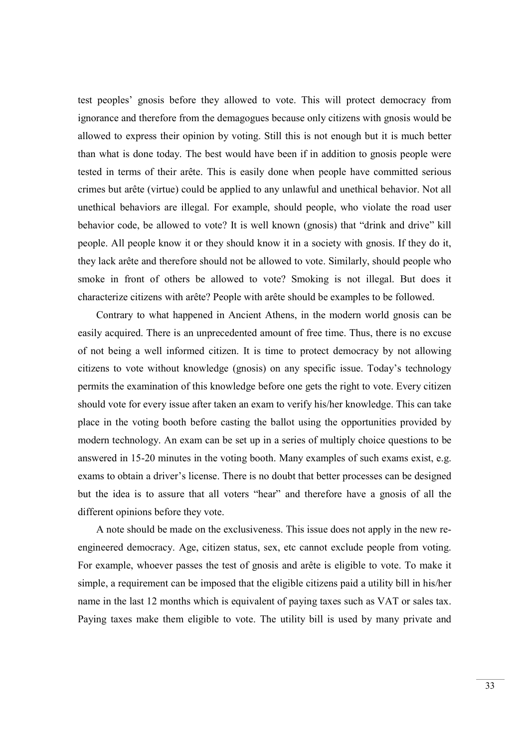test peoples' gnosis before they allowed to vote. This will protect democracy from ignorance and therefore from the demagogues because only citizens with gnosis would be allowed to express their opinion by voting. Still this is not enough but it is much better than what is done today. The best would have been if in addition to gnosis people were tested in terms of their arête. This is easily done when people have committed serious crimes but arête (virtue) could be applied to any unlawful and unethical behavior. Not all unethical behaviors are illegal. For example, should people, who violate the road user behavior code, be allowed to vote? It is well known (gnosis) that "drink and drive" kill people. All people know it or they should know it in a society with gnosis. If they do it, they lack arête and therefore should not be allowed to vote. Similarly, should people who smoke in front of others be allowed to vote? Smoking is not illegal. But does it characterize citizens with arête? People with arête should be examples to be followed.

Contrary to what happened in Ancient Athens, in the modern world gnosis can be easily acquired. There is an unprecedented amount of free time. Thus, there is no excuse of not being a well informed citizen. It is time to protect democracy by not allowing citizens to vote without knowledge (gnosis) on any specific issue. Today's technology permits the examination of this knowledge before one gets the right to vote. Every citizen should vote for every issue after taken an exam to verify his/her knowledge. This can take place in the voting booth before casting the ballot using the opportunities provided by modern technology. An exam can be set up in a series of multiply choice questions to be answered in 15-20 minutes in the voting booth. Many examples of such exams exist, e.g. exams to obtain a driver's license. There is no doubt that better processes can be designed but the idea is to assure that all voters "hear" and therefore have a gnosis of all the different opinions before they vote.

A note should be made on the exclusiveness. This issue does not apply in the new reengineered democracy. Age, citizen status, sex, etc cannot exclude people from voting. For example, whoever passes the test of gnosis and arête is eligible to vote. To make it simple, a requirement can be imposed that the eligible citizens paid a utility bill in his/her name in the last 12 months which is equivalent of paying taxes such as VAT or sales tax. Paying taxes make them eligible to vote. The utility bill is used by many private and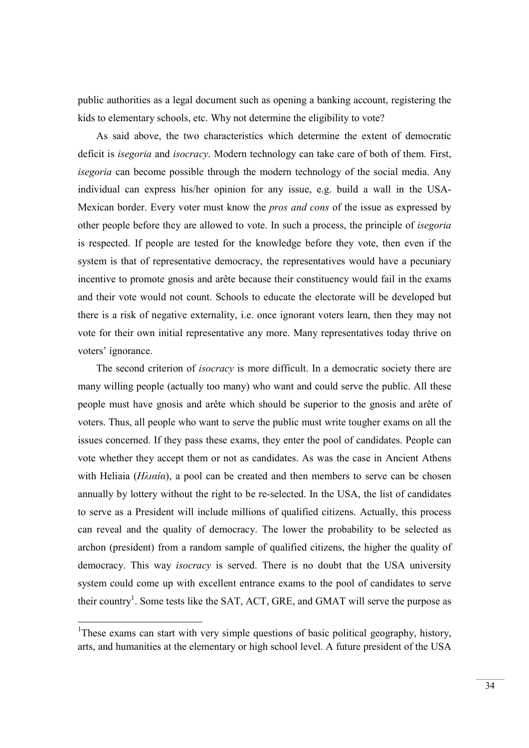public authorities as a legal document such as opening a banking account, registering the kids to elementary schools, etc. Why not determine the eligibility to vote?

As said above, the two characteristics which determine the extent of democratic deficit is *isegoria* and *isocracy*. Modern technology can take care of both of them. First, isegoria can become possible through the modern technology of the social media. Any individual can express his/her opinion for any issue, e.g. build a wall in the USA-Mexican border. Every voter must know the pros and cons of the issue as expressed by other people before they are allowed to vote. In such a process, the principle of isegoria is respected. If people are tested for the knowledge before they vote, then even if the system is that of representative democracy, the representatives would have a pecuniary incentive to promote gnosis and arête because their constituency would fail in the exams and their vote would not count. Schools to educate the electorate will be developed but there is a risk of negative externality, i.e. once ignorant voters learn, then they may not vote for their own initial representative any more. Many representatives today thrive on voters' ignorance.

The second criterion of *isocracy* is more difficult. In a democratic society there are many willing people (actually too many) who want and could serve the public. All these people must have gnosis and arête which should be superior to the gnosis and arête of voters. Thus, all people who want to serve the public must write tougher exams on all the issues concerned. If they pass these exams, they enter the pool of candidates. People can vote whether they accept them or not as candidates. As was the case in Ancient Athens with Heliaia ( $H\lambda \alpha \alpha$ ), a pool can be created and then members to serve can be chosen annually by lottery without the right to be re-selected. In the USA, the list of candidates to serve as a President will include millions of qualified citizens. Actually, this process can reveal and the quality of democracy. The lower the probability to be selected as archon (president) from a random sample of qualified citizens, the higher the quality of democracy. This way *isocracy* is served. There is no doubt that the USA university system could come up with excellent entrance exams to the pool of candidates to serve their country<sup>1</sup>. Some tests like the SAT, ACT, GRE, and GMAT will serve the purpose as

<sup>&</sup>lt;sup>1</sup>These exams can start with very simple questions of basic political geography, history, arts, and humanities at the elementary or high school level. A future president of the USA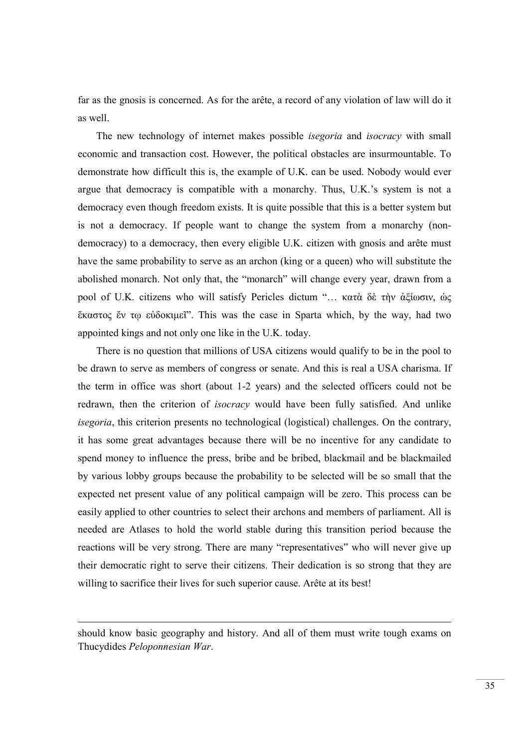far as the gnosis is concerned. As for the arête, a record of any violation of law will do it as well.

The new technology of internet makes possible *isegoria* and *isocracy* with small economic and transaction cost. However, the political obstacles are insurmountable. To demonstrate how difficult this is, the example of U.K. can be used. Nobody would ever argue that democracy is compatible with a monarchy. Thus, U.K.'s system is not a democracy even though freedom exists. It is quite possible that this is a better system but is not a democracy. If people want to change the system from a monarchy (nondemocracy) to a democracy, then every eligible U.K. citizen with gnosis and arête must have the same probability to serve as an archon (king or a queen) who will substitute the abolished monarch. Not only that, the "monarch" will change every year, drawn from a pool of U.K. citizens who will satisfy Pericles dictum "… κατὰ δὲ τὴν ἀξίωσιν, ὡς ἕκαστος ἔν τῳ εὐδοκιμεῖ". This was the case in Sparta which, by the way, had two appointed kings and not only one like in the U.K. today.

There is no question that millions of USA citizens would qualify to be in the pool to be drawn to serve as members of congress or senate. And this is real a USA charisma. If the term in office was short (about 1-2 years) and the selected officers could not be redrawn, then the criterion of *isocracy* would have been fully satisfied. And unlike isegoria, this criterion presents no technological (logistical) challenges. On the contrary, it has some great advantages because there will be no incentive for any candidate to spend money to influence the press, bribe and be bribed, blackmail and be blackmailed by various lobby groups because the probability to be selected will be so small that the expected net present value of any political campaign will be zero. This process can be easily applied to other countries to select their archons and members of parliament. All is needed are Atlases to hold the world stable during this transition period because the reactions will be very strong. There are many "representatives" who will never give up their democratic right to serve their citizens. Their dedication is so strong that they are willing to sacrifice their lives for such superior cause. Arête at its best!

should know basic geography and history. And all of them must write tough exams on Thucydides Peloponnesian War.